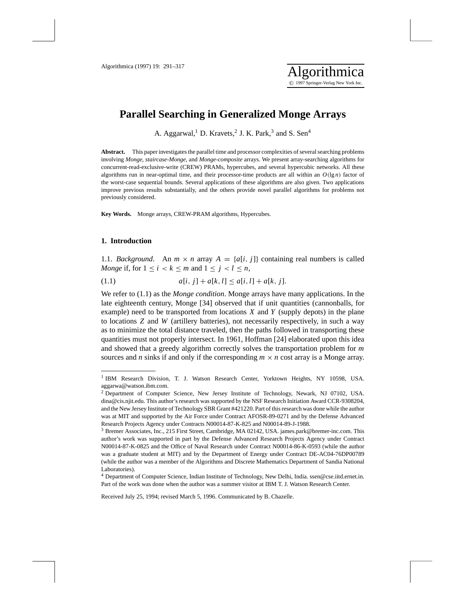# **Parallel Searching in Generalized Monge Arrays**

A. Aggarwal,<sup>1</sup> D. Kravets,<sup>2</sup> J. K. Park,<sup>3</sup> and S. Sen<sup>4</sup>

**Abstract.** This paper investigates the parallel time and processor complexities of several searching problems involving *Monge*, *staircase-Monge*, and *Monge-composite* arrays. We present array-searching algorithms for concurrent-read-exclusive-write (CREW) PRAMs, hypercubes, and several hypercubic networks. All these algorithms run in near-optimal time, and their processor-time products are all within an  $O(\lg n)$  factor of the worst-case sequential bounds. Several applications of these algorithms are also given. Two applications improve previous results substantially, and the others provide novel parallel algorithms for problems not previously considered.

**Key Words.** Monge arrays, CREW-PRAM algorithms, Hypercubes.

## **1. Introduction**

1.1. *Background*. An  $m \times n$  array  $A = \{a[i, j]\}$  containing real numbers is called *Monge* if, for  $1 \le i \le k \le m$  and  $1 \le j \le l \le n$ ,

(1.1)  $a[i, j] + a[k, l] \leq a[i, l] + a[k, j].$ 

We refer to (1.1) as the *Monge condition*. Monge arrays have many applications. In the late eighteenth century, Monge [34] observed that if unit quantities (cannonballs, for example) need to be transported from locations *X* and *Y* (supply depots) in the plane to locations *Z* and *W* (artillery batteries), not necessarily respectively, in such a way as to minimize the total distance traveled, then the paths followed in transporting these quantities must not properly intersect. In 1961, Hoffman [24] elaborated upon this idea and showed that a greedy algorithm correctly solves the transportation problem for *m* sources and *n* sinks if and only if the corresponding  $m \times n$  cost array is a Monge array.

Received July 25, 1994; revised March 5, 1996. Communicated by B. Chazelle.

<sup>&</sup>lt;sup>1</sup> IBM Research Division, T. J. Watson Research Center, Yorktown Heights, NY 10598, USA. aggarwa@watson.ibm.com.

<sup>2</sup> Department of Computer Science, New Jersey Institute of Technology, Newark, NJ 07102, USA. dina@cis.njit.edu. This author's research was supported by the NSF Research Initiation Award CCR-9308204, and the New Jersey Institute of Technology SBR Grant #421220. Part of this research was done while the author was at MIT and supported by the Air Force under Contract AFOSR-89-0271 and by the Defense Advanced Research Projects Agency under Contracts N00014-87-K-825 and N00014-89-J-1988.

<sup>3</sup> Bremer Associates, Inc., 215 First Street, Cambridge, MA 02142, USA. james.park@bremer-inc.com. This author's work was supported in part by the Defense Advanced Research Projects Agency under Contract N00014-87-K-0825 and the Office of Naval Research under Contract N00014-86-K-0593 (while the author was a graduate student at MIT) and by the Department of Energy under Contract DE-AC04-76DP00789 (while the author was a member of the Algorithms and Discrete Mathematics Department of Sandia National Laboratories).

<sup>4</sup> Department of Computer Science, Indian Institute of Technology, New Delhi, India. ssen@cse.iitd.ernet.in. Part of the work was done when the author was a summer visitor at IBM T. J. Watson Research Center.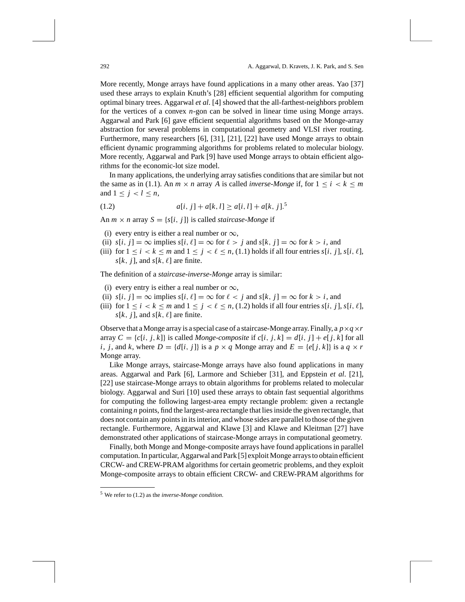More recently, Monge arrays have found applications in a many other areas. Yao [37] used these arrays to explain Knuth's [28] efficient sequential algorithm for computing optimal binary trees. Aggarwal *et al*. [4] showed that the all-farthest-neighbors problem for the vertices of a convex *n*-gon can be solved in linear time using Monge arrays. Aggarwal and Park [6] gave efficient sequential algorithms based on the Monge-array abstraction for several problems in computational geometry and VLSI river routing. Furthermore, many researchers [6], [31], [21], [22] have used Monge arrays to obtain efficient dynamic programming algorithms for problems related to molecular biology. More recently, Aggarwal and Park [9] have used Monge arrays to obtain efficient algorithms for the economic-lot size model.

In many applications, the underlying array satisfies conditions that are similar but not the same as in (1.1). An  $m \times n$  array *A* is called *inverse-Monge* if, for  $1 \le i \le k \le m$ and  $1 \leq j < l \leq n$ ,

(1.2) 
$$
a[i, j] + a[k, l] \ge a[i, l] + a[k, j]^{5}
$$

An  $m \times n$  array  $S = \{s[i, j]\}$  is called *staircase-Monge* if

- (i) every entry is either a real number or  $\infty$ ,
- (ii)  $s[i, j] = \infty$  implies  $s[i, \ell] = \infty$  for  $\ell > j$  and  $s[k, j] = \infty$  for  $k > i$ , and
- (iii) for  $1 \le i \le k \le m$  and  $1 \le j \le \ell \le n$ , (1.1) holds if all four entries  $s[i, j]$ ,  $s[i, \ell]$ ,  $s[k, j]$ , and  $s[k, \ell]$  are finite.

The definition of a *staircase-inverse-Monge* array is similar:

- (i) every entry is either a real number or  $\infty$ ,
- (ii)  $s[i, j] = \infty$  implies  $s[i, \ell] = \infty$  for  $\ell < j$  and  $s[k, j] = \infty$  for  $k > i$ , and
- (iii) for  $1 \le i \le k \le m$  and  $1 \le j \le \ell \le n$ , (1.2) holds if all four entries  $s[i, j]$ ,  $s[i, \ell]$ ,  $s[k, j]$ , and  $s[k, \ell]$  are finite.

Observe that a Monge array is a special case of a staircase-Monge array. Finally, a  $p \times q \times r$ array  $C = \{c[i, j, k]\}$  is called *Monge-composite* if  $c[i, j, k] = d[i, j] + e[j, k]$  for all *i*, *j*, and *k*, where  $D = \{d[i, j]\}$  is a  $p \times q$  Monge array and  $E = \{e[j, k]\}$  is a  $q \times r$ Monge array.

Like Monge arrays, staircase-Monge arrays have also found applications in many areas. Aggarwal and Park [6], Larmore and Schieber [31], and Eppstein *et al*. [21], [22] use staircase-Monge arrays to obtain algorithms for problems related to molecular biology. Aggarwal and Suri [10] used these arrays to obtain fast sequential algorithms for computing the following largest-area empty rectangle problem: given a rectangle containing *n* points, find the largest-area rectangle that lies inside the given rectangle, that does not contain any points in its interior, and whose sides are parallel to those of the given rectangle. Furthermore, Aggarwal and Klawe [3] and Klawe and Kleitman [27] have demonstrated other applications of staircase-Monge arrays in computational geometry.

Finally, both Monge and Monge-composite arrays have found applications in parallel computation. In particular, Aggarwal and Park [5] exploit Monge arrays to obtain efficient CRCW- and CREW-PRAM algorithms for certain geometric problems, and they exploit Monge-composite arrays to obtain efficient CRCW- and CREW-PRAM algorithms for

<sup>5</sup> We refer to (1.2) as the *inverse-Monge condition*.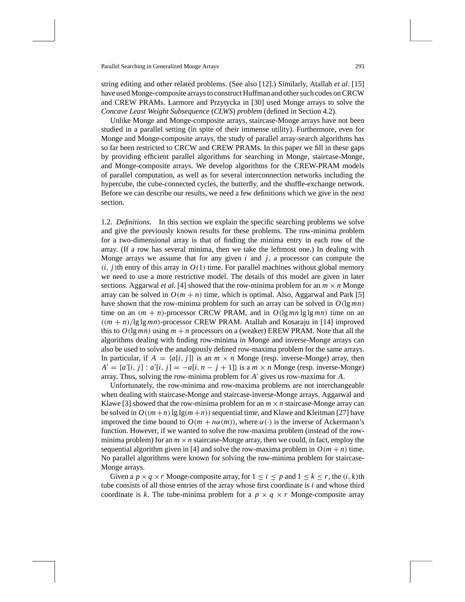string editing and other related problems. (See also [12].) Similarly, Atallah *et al*. [15] have used Monge-composite arrays to construct Huffman and other such codes on CRCW and CREW PRAMs. Larmore and Przytycka in [30] used Monge arrays to solve the *Concave Least Weight Subsequence* (*CLWS*) *problem* (defined in Section 4.2).

Unlike Monge and Monge-composite arrays, staircase-Monge arrays have not been studied in a parallel setting (in spite of their immense utility). Furthermore, even for Monge and Monge-composite arrays, the study of parallel array-search algorithms has so far been restricted to CRCW and CREW PRAMs. In this paper we fill in these gaps by providing efficient parallel algorithms for searching in Monge, staircase-Monge, and Monge-composite arrays. We develop algorithms for the CREW-PRAM models of parallel computation, as well as for several interconnection networks including the hypercube, the cube-connected cycles, the butterfly, and the shuffle-exchange network. Before we can describe our results, we need a few definitions which we give in the next section.

1.2. *Definitions*. In this section we explain the specific searching problems we solve and give the previously known results for these problems. The row-minima problem for a two-dimensional array is that of finding the minima entry in each row of the array. (If a row has several minima, then we take the leftmost one.) In dealing with Monge arrays we assume that for any given *i* and *j*, a processor can compute the  $(i, j)$ th entry of this array in  $O(1)$  time. For parallel machines without global memory we need to use a more restrictive model. The details of this model are given in later sections. Aggarwal *et al.* [4] showed that the row-minima problem for an  $m \times n$  Monge array can be solved in  $O(m + n)$  time, which is optimal. Also, Aggarwal and Park [5] have shown that the row-minima problem for such an array can be solved in  $O(\lg mn)$ time on an  $(m + n)$ -processor CRCW PRAM, and in  $O(\lg mn \lg \lg mn)$  time on an  $((m + n)/\lg\lg mn)$ -processor CREW PRAM. Atallah and Kosaraju in [14] improved this to  $O(\lg mn)$  using  $m + n$  processors on a (weaker) EREW PRAM. Note that all the algorithms dealing with finding row-minima in Monge and inverse-Monge arrays can also be used to solve the analogously defined row-maxima problem for the same arrays. In particular, if  $A = \{a[i, j]\}$  is an  $m \times n$  Monge (resp. inverse-Monge) array, then  $A' = \{a'[i, j] : a'[i, j] = -a[i, n - j + 1]\}$  is a  $m \times n$  Monge (resp. inverse-Monge) array. Thus, solving the row-minima problem for *A'* gives us row-maxima for *A*.

Unfortunately, the row-minima and row-maxima problems are not interchangeable when dealing with staircase-Monge and staircase-inverse-Monge arrays. Aggarwal and Klawe [3] showed that the row-minima problem for an  $m \times n$  staircase-Monge array can be solved in  $O((m+n) \lg \lg(m+n))$  sequential time, and Klawe and Kleitman [27] have improved the time bound to  $O(m + n\alpha(m))$ , where  $\alpha(\cdot)$  is the inverse of Ackermann's function. However, if we wanted to solve the row-maxima problem (instead of the rowminima problem) for an  $m \times n$  staircase-Monge array, then we could, in fact, employ the sequential algorithm given in [4] and solve the row-maxima problem in  $O(m + n)$  time. No parallel algorithms were known for solving the row-minima problem for staircase-Monge arrays.

Given a  $p \times q \times r$  Monge-composite array, for  $1 \le i \le p$  and  $1 \le k \le r$ , the  $(i, k)$ th tube consists of all those entries of the array whose first coordinate is *i* and whose third coordinate is k. The tube-minima problem for a  $p \times q \times r$  Monge-composite array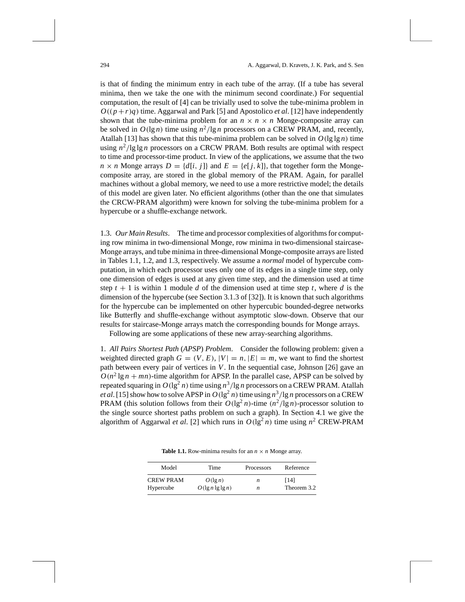is that of finding the minimum entry in each tube of the array. (If a tube has several minima, then we take the one with the minimum second coordinate.) For sequential computation, the result of [4] can be trivially used to solve the tube-minima problem in  $O((p+r)q)$  time. Aggarwal and Park [5] and Apostolico *et al.* [12] have independently shown that the tube-minima problem for an  $n \times n \times n$  Monge-composite array can be solved in  $O(\lg n)$  time using  $n^2/\lg n$  processors on a CREW PRAM, and, recently, Atallah [13] has shown that this tube-minima problem can be solved in  $O(\lg \lg n)$  time using  $n^2$ /lg lg *n* processors on a CRCW PRAM. Both results are optimal with respect to time and processor-time product. In view of the applications, we assume that the two  $n \times n$  Monge arrays  $D = \{d[i, j]\}$  and  $E = \{e[j, k]\}$ , that together form the Mongecomposite array, are stored in the global memory of the PRAM. Again, for parallel machines without a global memory, we need to use a more restrictive model; the details of this model are given later. No efficient algorithms (other than the one that simulates the CRCW-PRAM algorithm) were known for solving the tube-minima problem for a hypercube or a shuffle-exchange network.

1.3. *Our Main Results*. The time and processor complexities of algorithms for computing row minima in two-dimensional Monge, row minima in two-dimensional staircase-Monge arrays, and tube minima in three-dimensional Monge-composite arrays are listed in Tables 1.1, 1.2, and 1.3, respectively. We assume a *normal* model of hypercube computation, in which each processor uses only one of its edges in a single time step, only one dimension of edges is used at any given time step, and the dimension used at time step  $t + 1$  is within 1 module *d* of the dimension used at time step *t*, where *d* is the dimension of the hypercube (see Section 3.1.3 of [32]). It is known that such algorithms for the hypercube can be implemented on other hypercubic bounded-degree networks like Butterfly and shuffle-exchange without asymptotic slow-down. Observe that our results for staircase-Monge arrays match the corresponding bounds for Monge arrays.

Following are some applications of these new array-searching algorithms.

1. *All Pairs Shortest Path* (*APSP*) *Problem*. Consider the following problem: given a weighted directed graph  $G = (V, E), |V| = n, |E| = m$ , we want to find the shortest path between every pair of vertices in *V*. In the sequential case, Johnson [26] gave an  $O(n^2 \lg n + mn)$ -time algorithm for APSP. In the parallel case, APSP can be solved by repeated squaring in  $O(\lg^2 n)$  time using  $n^3/\lg n$  processors on a CREW PRAM. Atallah *et al.* [15] show how to solve APSP in  $O(\lg^2 n)$  time using  $n^3$  /lg *n* processors on a CREW **PRAM** (this solution follows from their  $O(\lg^2 n)$ -time  $(n^2/\lg n)$ -processor solution to the single source shortest paths problem on such a graph). In Section 4.1 we give the algorithm of Aggarwal *et al.* [2] which runs in  $O(\lg^2 n)$  time using  $n^2$  CREW-PRAM

| Model            | Time                 | Processors | Reference   |  |
|------------------|----------------------|------------|-------------|--|
| <b>CREW PRAM</b> | $O(\lg n)$           | n          | [14]        |  |
| Hypercube        | $O(\lg n \lg \lg n)$ |            | Theorem 3.2 |  |

**Table 1.1.** Row-minima results for an  $n \times n$  Monge array.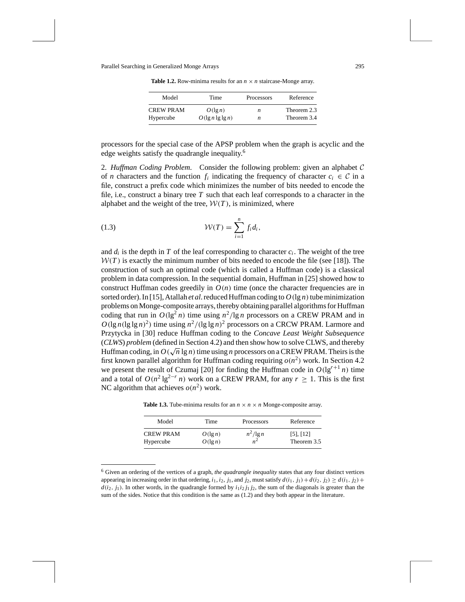**Table 1.2.** Row-minima results for an  $n \times n$  staircase-Monge array.

| Model            | Time                 | Processors | Reference   |
|------------------|----------------------|------------|-------------|
| <b>CREW PRAM</b> | $O(\lg n)$           | n          | Theorem 2.3 |
| Hypercube        | $O(\lg n \lg \lg n)$ | n          | Theorem 3.4 |

processors for the special case of the APSP problem when the graph is acyclic and the edge weights satisfy the quadrangle inequality.6

2. *Huffman Coding Problem*. Consider the following problem: given an alphabet *C* of *n* characters and the function  $f_i$  indicating the frequency of character  $c_i \in \mathcal{C}$  in a file, construct a prefix code which minimizes the number of bits needed to encode the file, i.e., construct a binary tree  $T$  such that each leaf corresponds to a character in the alphabet and the weight of the tree,  $W(T)$ , is minimized, where

(1.3) 
$$
\mathcal{W}(T) = \sum_{i=1}^{n} f_i d_i,
$$

and  $d_i$  is the depth in  $T$  of the leaf corresponding to character  $c_i$ . The weight of the tree  $W(T)$  is exactly the minimum number of bits needed to encode the file (see [18]). The construction of such an optimal code (which is called a Huffman code) is a classical problem in data compression. In the sequential domain, Huffman in [25] showed how to construct Huffman codes greedily in  $O(n)$  time (once the character frequencies are in sorted order). In [15], Atallah *et al.* reduced Huffman coding to  $O(\lg n)$  tube minimization problems on Monge-composite arrays, thereby obtaining parallel algorithms for Huffman coding that run in  $O(\lg^2 n)$  time using  $n^2/\lg n$  processors on a CREW PRAM and in  $O(\lg n(\lg \lg n)^2)$  time using  $n^2/(\lg \lg n)^2$  processors on a CRCW PRAM. Larmore and Przytycka in [30] reduce Huffman coding to the *Concave Least Weight Subsequence* (*CLWS*) *problem* (defined in Section 4.2) and then show how to solve CLWS, and thereby (CLWS) problem (defined in Section 4.2) and then show now to solve CLWS), and thereby<br>Huffman coding, in  $O(\sqrt{n}\lg n)$  time using *n* processors on a CREW PRAM. Theirs is the first known parallel algorithm for Huffman coding requiring  $o(n^2)$  work. In Section 4.2 we present the result of Czumaj [20] for finding the Huffman code in  $O(\lg^{r+1} n)$  time and a total of  $O(n^2 \lg^{2-r} n)$  work on a CREW PRAM, for any  $r > 1$ . This is the first NC algorithm that achieves  $o(n^2)$  work.

**Table 1.3.** Tube-minima results for an  $n \times n \times n$  Monge-composite array.

| Model            | Time       | Processors  | Reference      |
|------------------|------------|-------------|----------------|
| <b>CREW PRAM</b> | $O(\lg n)$ | $n^2$ /lg n | $[5]$ , $[12]$ |
| Hypercube        | $O(\lg n)$ |             | Theorem 3.5    |

<sup>6</sup> Given an ordering of the vertices of a graph, *the quadrangle inequality* states that any four distinct vertices appearing in increasing order in that ordering,  $i_1$ ,  $i_2$ ,  $j_1$ , and  $j_2$ , must satisfy  $d(i_1, j_1) + d(i_2, j_2) \geq d(i_1, j_2) + d(i_2, j_1)$  $d(i_2, j_1)$ . In other words, in the quadrangle formed by  $i_1 i_2 j_1 j_2$ , the sum of the diagonals is greater than the sum of the sides. Notice that this condition is the same as (1.2) and they both appear in the literature.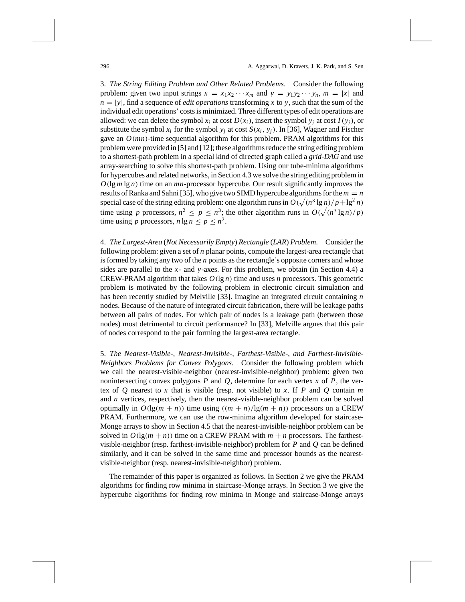3. *The String Editing Problem and Other Related Problems*. Consider the following problem: given two input strings  $x = x_1x_2 \cdots x_m$  and  $y = y_1y_2 \cdots y_n$ ,  $m = |x|$  and  $n = |y|$ , find a sequence of *edit operations* transforming x to y, such that the sum of the individual edit operations' costs is minimized. Three different types of edit operations are allowed: we can delete the symbol  $x_i$  at cost  $D(x_i)$ , insert the symbol  $y_i$  at cost  $I(y_i)$ , or substitute the symbol  $x_i$  for the symbol  $y_i$  at cost  $S(x_i, y_j)$ . In [36], Wagner and Fischer gave an  $O(mn)$ -time sequential algorithm for this problem. PRAM algorithms for this problem were provided in [5] and [12]; these algorithms reduce the string editing problem to a shortest-path problem in a special kind of directed graph called a *grid-DAG* and use array-searching to solve this shortest-path problem. Using our tube-minima algorithms for hypercubes and related networks, in Section 4.3 we solve the string editing problem in  $O(\lg m \lg n)$  time on an *mn*-processor hypercube. Our result significantly improves the results of Ranka and Sahni [35], who give two SIMD hypercube algorithms for the  $m = n$ special case of the string editing problem: one algorithm runs in  $O(\sqrt{(n^3 \lg n)/p} + \lg^2 n)$ time using *p* processors,  $n^2 \le p \le n^3$ ; the other algorithm runs in  $O(\sqrt{(n^3 \lg n)/p})$ time using *p* processors,  $n \lg n \leq p \leq n^2$ .

4. *The Largest-Area* (*Not Necessarily Empty*) *Rectangle* (*LAR*) *Problem*. Consider the following problem: given a set of *n* planar points, compute the largest-area rectangle that is formed by taking any two of the *n* points as the rectangle's opposite corners and whose sides are parallel to the *x*- and *y*-axes. For this problem, we obtain (in Section 4.4) a CREW-PRAM algorithm that takes *O(*lg *n)* time and uses *n* processors. This geometric problem is motivated by the following problem in electronic circuit simulation and has been recently studied by Melville [33]. Imagine an integrated circuit containing *n* nodes. Because of the nature of integrated circuit fabrication, there will be leakage paths between all pairs of nodes. For which pair of nodes is a leakage path (between those nodes) most detrimental to circuit performance? In [33], Melville argues that this pair of nodes correspond to the pair forming the largest-area rectangle.

5. *The Nearest-Visible-*, *Nearest-Invisible-*, *Farthest-Visible-*, *and Farthest-Invisible-Neighbors Problems for Convex Polygons*. Consider the following problem which we call the nearest-visible-neighbor (nearest-invisible-neighbor) problem: given two nonintersecting convex polygons  $P$  and  $Q$ , determine for each vertex  $x$  of  $P$ , the vertex of *Q* nearest to *x* that is visible (resp. not visible) to *x*. If *P* and *Q* contain *m* and *n* vertices, respectively, then the nearest-visible-neighbor problem can be solved optimally in  $O(\lg(m + n))$  time using  $((m + n)/\lg(m + n))$  processors on a CREW PRAM. Furthermore, we can use the row-minima algorithm developed for staircase-Monge arrays to show in Section 4.5 that the nearest-invisible-neighbor problem can be solved in  $O(\lg(m + n))$  time on a CREW PRAM with  $m + n$  processors. The farthestvisible-neighbor (resp. farthest-invisible-neighbor) problem for *P* and *Q* can be defined similarly, and it can be solved in the same time and processor bounds as the nearestvisible-neighbor (resp. nearest-invisible-neighbor) problem.

The remainder of this paper is organized as follows. In Section 2 we give the PRAM algorithms for finding row minima in staircase-Monge arrays. In Section 3 we give the hypercube algorithms for finding row minima in Monge and staircase-Monge arrays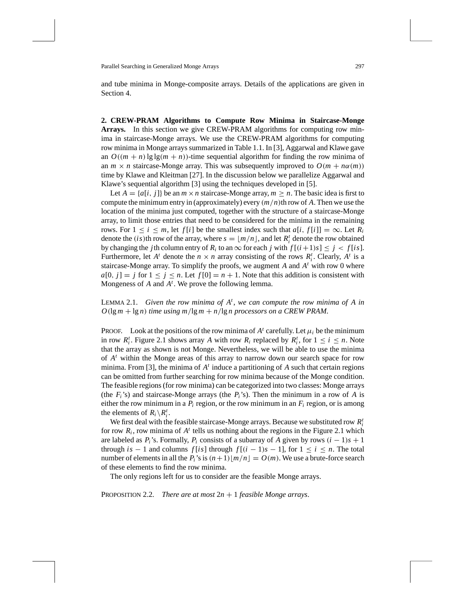and tube minima in Monge-composite arrays. Details of the applications are given in Section 4.

**2. CREW-PRAM Algorithms to Compute Row Minima in Staircase-Monge Arrays.** In this section we give CREW-PRAM algorithms for computing row minima in staircase-Monge arrays. We use the CREW-PRAM algorithms for computing row minima in Monge arrays summarized in Table 1.1. In [3], Aggarwal and Klawe gave an  $O((m + n) \lg \lg(m + n))$ -time sequential algorithm for finding the row minima of an  $m \times n$  staircase-Monge array. This was subsequently improved to  $O(m + n\alpha(m))$ time by Klawe and Kleitman [27]. In the discussion below we parallelize Aggarwal and Klawe's sequential algorithm [3] using the techniques developed in [5].

Let  $A = \{a[i, j]\}$  be an  $m \times n$  staircase-Monge array,  $m \geq n$ . The basic idea is first to compute the minimum entry in (approximately) every *(m/n)*th row of *A*. Then we use the location of the minima just computed, together with the structure of a staircase-Monge array, to limit those entries that need to be considered for the minima in the remaining rows. For  $1 \le i \le m$ , let  $f[i]$  be the smallest index such that  $a[i, f[i]] = \infty$ . Let  $R_i$ denote the *(is)*th row of the array, where  $s = \lfloor m/n \rfloor$ , and let  $R_i^t$  denote the row obtained by changing the *j*th column entry of  $R_i$  to an  $\infty$  for each *j* with  $f[(i+1)s] \leq j < f[is]$ . Furthermore, let  $A^t$  denote the  $n \times n$  array consisting of the rows  $R^t_i$ . Clearly,  $A^t$  is a staircase-Monge array. To simplify the proofs, we augment *A* and *A<sup>t</sup>* with row 0 where  $a[0, j] = j$  for  $1 \leq j \leq n$ . Let  $f[0] = n + 1$ . Note that this addition is consistent with Mongeness of *A* and *A<sup>t</sup>* . We prove the following lemma.

LEMMA 2.1. *Given the row minima of A<sup>t</sup>* , *we can compute the row minima of A in*  $O(\lg m + \lg n)$  *time using m*/lg  $m + n/\lg n$  processors on a CREW PRAM.

PROOF. Look at the positions of the row minima of  $A<sup>t</sup>$  carefully. Let  $\mu<sub>i</sub>$  be the minimum in row  $R_i^t$ . Figure 2.1 shows array *A* with row  $R_i$  replaced by  $R_i^t$ , for  $1 \le i \le n$ . Note that the array as shown is not Monge. Nevertheless, we will be able to use the minima of *A<sup>t</sup>* within the Monge areas of this array to narrow down our search space for row minima. From [3], the minima of *A<sup>t</sup>* induce a partitioning of *A* such that certain regions can be omitted from further searching for row minima because of the Monge condition. The feasible regions (for row minima) can be categorized into two classes: Monge arrays (the  $F_i$ 's) and staircase-Monge arrays (the  $P_i$ 's). Then the minimum in a row of A is either the row minimum in a  $P_i$  region, or the row minimum in an  $F_i$  region, or is among the elements of  $R_i \setminus R_i^t$ .

We first deal with the feasible staircase-Monge arrays. Because we substituted row *R<sup>t</sup> i* for row  $R_i$ , row minima of  $A<sup>t</sup>$  tells us nothing about the regions in the Figure 2.1 which are labeled as  $P_i$ 's. Formally,  $P_i$  consists of a subarray of A given by rows  $(i - 1)s + 1$ through *is* − 1 and columns  $f[i s]$  through  $f[(i − 1)s − 1]$ , for  $1 ≤ i ≤ n$ . The total number of elements in all the  $P_i$ 's is  $(n+1)[m/n] = O(m)$ . We use a brute-force search of these elements to find the row minima.

The only regions left for us to consider are the feasible Monge arrays.

**PROPOSITION 2.2.** *There are at most*  $2n + 1$  *feasible Monge arrays.*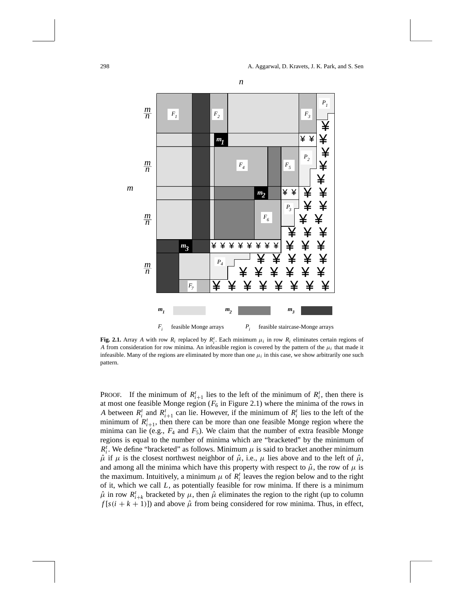



**Fig. 2.1.** Array *A* with row  $R_i$  replaced by  $R_i^t$ . Each minimum  $\mu_i$  in row  $R_i$  eliminates certain regions of *A* from consideration for row minima. An infeasible region is covered by the pattern of the  $\mu_i$  that made it infeasible. Many of the regions are eliminated by more than one  $\mu_i$  in this case, we show arbitrarily one such pattern.

PROOF. If the minimum of  $R_{i+1}^t$  lies to the left of the minimum of  $R_i^t$ , then there is at most one feasible Monge region  $(F_6$  in Figure 2.1) where the minima of the rows in *A* between  $R_i^t$  and  $R_{i+1}^t$  can lie. However, if the minimum of  $R_i^t$  lies to the left of the minimum of  $R_{i+1}^t$ , then there can be more than one feasible Monge region where the minima can lie (e.g.,  $F_4$  and  $F_5$ ). We claim that the number of extra feasible Monge regions is equal to the number of minima which are "bracketed" by the minimum of  $R_i^t$ . We define "bracketed" as follows. Minimum  $\mu$  is said to bracket another minimum  $\hat{\mu}$  if  $\mu$  is the closest northwest neighbor of  $\hat{\mu}$ , i.e.,  $\mu$  lies above and to the left of  $\hat{\mu}$ , and among all the minima which have this property with respect to  $\hat{\mu}$ , the row of  $\mu$  is the maximum. Intuitively, a minimum  $\mu$  of  $R_i^t$  leaves the region below and to the right of it, which we call *L*, as potentially feasible for row minima. If there is a minimum  $\hat{\mu}$  in row  $R_{i+k}^t$  bracketed by  $\mu$ , then  $\hat{\mu}$  eliminates the region to the right (up to column  $f[s(i + k + 1)]$  and above  $\hat{\mu}$  from being considered for row minima. Thus, in effect,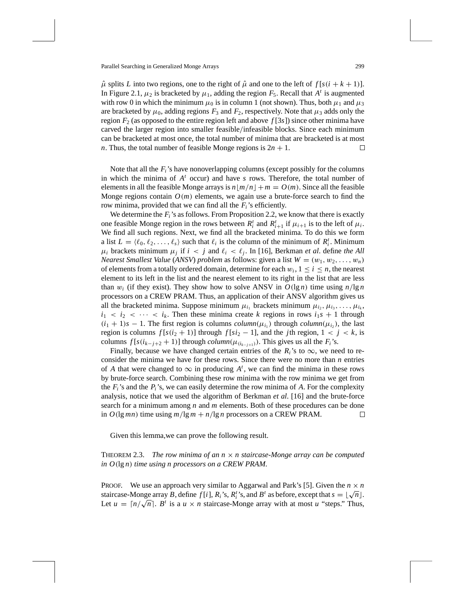$\hat{\mu}$  splits *L* into two regions, one to the right of  $\hat{\mu}$  and one to the left of  $f[s(i + k + 1)]$ . In Figure 2.1,  $\mu_2$  is bracketed by  $\mu_1$ , adding the region  $F_5$ . Recall that  $A^t$  is augmented with row 0 in which the minimum  $\mu_0$  is in column 1 (not shown). Thus, both  $\mu_1$  and  $\mu_3$ are bracketed by  $\mu_0$ , adding regions  $F_3$  and  $F_2$ , respectively. Note that  $\mu_3$  adds only the region  $F_2$  (as opposed to the entire region left and above  $f[3s]$ ) since other minima have carved the larger region into smaller feasible*/*infeasible blocks. Since each minimum can be bracketed at most once, the total number of minima that are bracketed is at most *n*. Thus, the total number of feasible Monge regions is  $2n + 1$ . □

Note that all the *Fi*'s have nonoverlapping columns (except possibly for the columns in which the minima of *A<sup>t</sup>* occur) and have *s* rows. Therefore, the total number of elements in all the feasible Monge arrays is  $n |m/n| + m = O(m)$ . Since all the feasible Monge regions contain  $O(m)$  elements, we again use a brute-force search to find the row minima, provided that we can find all the *Fi*'s efficiently.

We determine the  $F_i$ 's as follows. From Proposition 2.2, we know that there is exactly one feasible Monge region in the rows between  $R_i^t$  and  $R_{i+1}^t$  if  $\mu_{i+1}$  is to the left of  $\mu_i$ . We find all such regions. Next, we find all the bracketed minima. To do this we form a list  $L = \langle \ell_0, \ell_2, \ldots, \ell_s \rangle$  such that  $\ell_i$  is the column of the minimum of  $R_i^t$ . Minimum  $\mu_i$  brackets minimum  $\mu_j$  if  $i < j$  and  $\ell_i < \ell_j$ . In [16], Berkman *et al.* define *the All Nearest Smallest Value (ANSV) problem* as follows: given a list  $W = (w_1, w_2, \ldots, w_n)$ of elements from a totally ordered domain, determine for each  $w_i$ ,  $1 \le i \le n$ , the nearest element to its left in the list and the nearest element to its right in the list that are less than  $w_i$  (if they exist). They show how to solve ANSV in  $O(\lg n)$  time using  $n/\lg n$ processors on a CREW PRAM. Thus, an application of their ANSV algorithm gives us all the bracketed minima. Suppose minimum  $\mu_{i_1}$  brackets minimum  $\mu_{i_2}, \mu_{i_3}, \ldots, \mu_{i_k}$ ,  $i_1 < i_2 < \cdots < i_k$ . Then these minima create *k* regions in rows  $i_1s + 1$  through  $(i_1 + 1)s - 1$ . The first region is columns *column* $(\mu_{i_1})$  through *column* $(\mu_{i_2})$ , the last region is columns  $f[s(i_2 + 1)]$  through  $f[s(i_2 - 1)]$ , and the *j*th region,  $1 < j < k$ , is columns  $f[s(i_{k-j+2}+1)]$  through  $column(\mu_{(i_{k-j+1})})$ . This gives us all the  $F_i$ 's.

Finally, because we have changed certain entries of the  $R_i$ 's to  $\infty$ , we need to reconsider the minima we have for these rows. Since there were no more than *n* entries of *A* that were changed to  $\infty$  in producing  $A^t$ , we can find the minima in these rows by brute-force search. Combining these row minima with the row minima we get from the  $F_i$ 's and the  $P_i$ 's, we can easily determine the row minima of  $A$ . For the complexity analysis, notice that we used the algorithm of Berkman *et al*. [16] and the brute-force search for a minimum among *n* and *m* elements. Both of these procedures can be done in  $O(\lg mn)$  time using  $m/\lg m + n/\lg n$  processors on a CREW PRAM.  $\Box$ 

Given this lemma,we can prove the following result.

THEOREM 2.3. *The row minima of an n* × *n staircase-Monge array can be computed in O(*lg *n) time using n processors on a CREW PRAM*.

PROOF. We use an approach very similar to Aggarwal and Park's [5]. Given the  $n \times n$ FROOF. We use an approach very similar to Aggarwal and Park s [5]. Given the  $n \times n$  staircase-Monge array *B*, define  $f[i]$ ,  $R_i$ 's,  $R_i'$ 's, and  $B^t$  as before, except that  $s = \lfloor \sqrt{n} \rfloor$ . stancase-Monge array *b*, define *f* [*t*],  $\kappa_i$  s,  $\kappa_i$  s, and *b* as before, except that  $s = \lfloor \sqrt{n} \rfloor$ .<br>Let  $u = \lceil n/\sqrt{n} \rceil$ . *B*<sup>*t*</sup> is a  $u \times n$  staircase-Monge array with at most *u* "steps." Thus,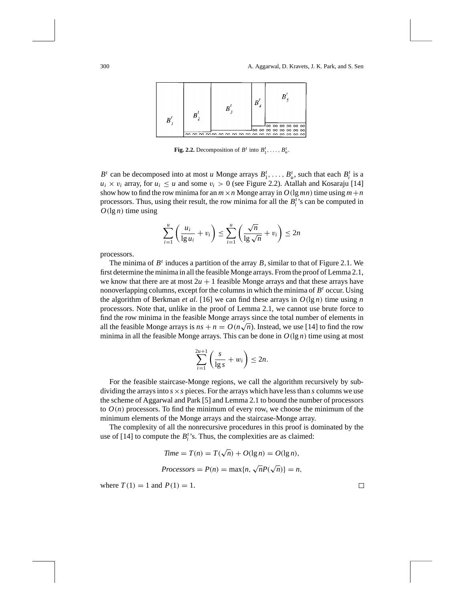

**Fig. 2.2.** Decomposition of  $B^t$  into  $B_1^t, \ldots, B_u^t$ .

 $B^t$  can be decomposed into at most *u* Monge arrays  $B^t_1, \ldots, B^t_u$ , such that each  $B^t_i$  is a  $u_i \times v_i$  array, for  $u_i \le u$  and some  $v_i > 0$  (see Figure 2.2). Atallah and Kosaraju [14] show how to find the row minima for an  $m \times n$  Monge array in  $O(\lg mn)$  time using  $m+n$ processors. Thus, using their result, the row minima for all the  $B_i^t$ 's can be computed in  $O(\lg n)$  time using

$$
\sum_{i=1}^{u} \left( \frac{u_i}{\lg u_i} + v_i \right) \le \sum_{i=1}^{u} \left( \frac{\sqrt{n}}{\lg \sqrt{n}} + v_i \right) \le 2n
$$

processors.

The minima of  $B<sup>t</sup>$  induces a partition of the array  $B$ , similar to that of Figure 2.1. We first determine the minima in all the feasible Monge arrays. From the proof of Lemma 2.1, we know that there are at most  $2u + 1$  feasible Monge arrays and that these arrays have nonoverlapping columns, except for the columns in which the minima of *B<sup>t</sup>* occur. Using the algorithm of Berkman *et al.* [16] we can find these arrays in  $O(\lg n)$  time using *n* processors. Note that, unlike in the proof of Lemma 2.1, we cannot use brute force to find the row minima in the feasible Monge arrays since the total number of elements in all the feasible Monge arrays is  $ns + n = O(n\sqrt{n})$ . Instead, we use [14] to find the row minima in all the feasible Monge arrays. This can be done in  $O(\lg n)$  time using at most

$$
\sum_{i=1}^{2u+1} \left( \frac{s}{\lg s} + w_i \right) \le 2n.
$$

For the feasible staircase-Monge regions, we call the algorithm recursively by subdividing the arrays into  $s \times s$  pieces. For the arrays which have less than  $s$  columns we use the scheme of Aggarwal and Park [5] and Lemma 2.1 to bound the number of processors to  $O(n)$  processors. To find the minimum of every row, we choose the minimum of the minimum elements of the Monge arrays and the staircase-Monge array.

The complexity of all the nonrecursive procedures in this proof is dominated by the use of  $[14]$  to compute the  $B_i^t$ 's. Thus, the complexities are as claimed:

$$
Time = T(n) = T(\sqrt{n}) + O(\lg n) = O(\lg n),
$$
  

$$
Processors = P(n) = \max\{n, \sqrt{n}P(\sqrt{n})\} = n,
$$

where  $T(1) = 1$  and  $P(1) = 1$ .

 $\Box$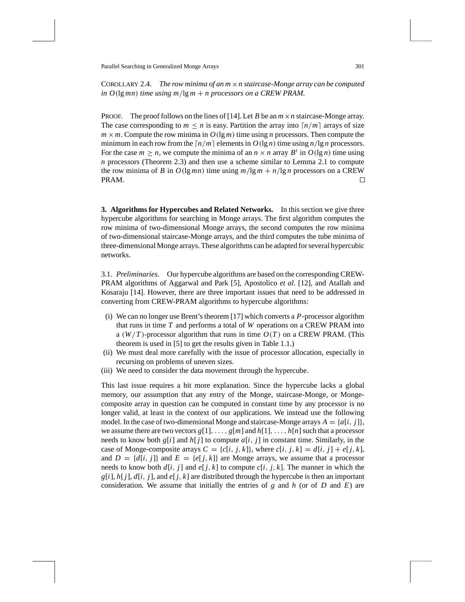COROLLARY 2.4. *The row minima of an m*×*n staircase-Monge array can be computed in O(*lg *mn) time using m/*lg *m* + *n processors on a CREW PRAM*.

PROOF. The proof follows on the lines of [14]. Let *B* be an  $m \times n$  staircase-Monge array. The case corresponding to  $m \leq n$  is easy. Partition the array into  $\lceil n/m \rceil$  arrays of size  $m \times m$ . Compute the row minima in  $O(\lg m)$  time using *n* processors. Then compute the minimum in each row from the  $\lceil n/m \rceil$  elements in  $O(\lg n)$  time using  $n/\lg n$  processors. For the case  $m \ge n$ , we compute the minima of an  $n \times n$  array  $B^t$  in  $O(\lg n)$  time using *n* processors (Theorem 2.3) and then use a scheme similar to Lemma 2.1 to compute the row minima of *B* in  $O(\lg mn)$  time using  $m/\lg m + n/\lg n$  processors on a CREW PRAM.  $\Box$ 

**3. Algorithms for Hypercubes and Related Networks.** In this section we give three hypercube algorithms for searching in Monge arrays. The first algorithm computes the row minima of two-dimensional Monge arrays, the second computes the row minima of two-dimensional staircase-Monge arrays, and the third computes the tube minima of three-dimensional Monge arrays. These algorithms can be adapted for several hypercubic networks.

3.1. *Preliminaries*. Our hypercube algorithms are based on the corresponding CREW-PRAM algorithms of Aggarwal and Park [5], Apostolico *et al*. [12], and Atallah and Kosaraju [14]. However, there are three important issues that need to be addressed in converting from CREW-PRAM algorithms to hypercube algorithms:

- (i) We can no longer use Brent's theorem [17] which converts a *P*-processor algorithm that runs in time *T* and performs a total of *W* operations on a CREW PRAM into a  $(W/T)$ -processor algorithm that runs in time  $O(T)$  on a CREW PRAM. (This theorem is used in [5] to get the results given in Table 1.1.)
- (ii) We must deal more carefully with the issue of processor allocation, especially in recursing on problems of uneven sizes.
- (iii) We need to consider the data movement through the hypercube.

This last issue requires a bit more explanation. Since the hypercube lacks a global memory, our assumption that any entry of the Monge, staircase-Monge, or Mongecomposite array in question can be computed in constant time by any processor is no longer valid, at least in the context of our applications. We instead use the following model. In the case of two-dimensional Monge and staircase-Monge arrays  $A = \{a[i, j]\},\$ we assume there are two vectors  $g[1], \ldots, g[m]$  and  $h[1], \ldots, h[n]$  such that a processor needs to know both  $g[i]$  and  $h[j]$  to compute  $a[i, j]$  in constant time. Similarly, in the case of Monge-composite arrays  $C = \{c[i, j, k]\}$ , where  $c[i, j, k] = d[i, j] + e[j, k]$ , and  $D = \{d[i, j]\}$  and  $E = \{e[j, k]\}$  are Monge arrays, we assume that a processor needs to know both  $d[i, j]$  and  $e[j, k]$  to compute  $c[i, j, k]$ . The manner in which the  $g[i], h[j], d[i, j]$ , and  $e[j, k]$  are distributed through the hypercube is then an important consideration. We assume that initially the entries of *g* and *h* (or of *D* and *E*) are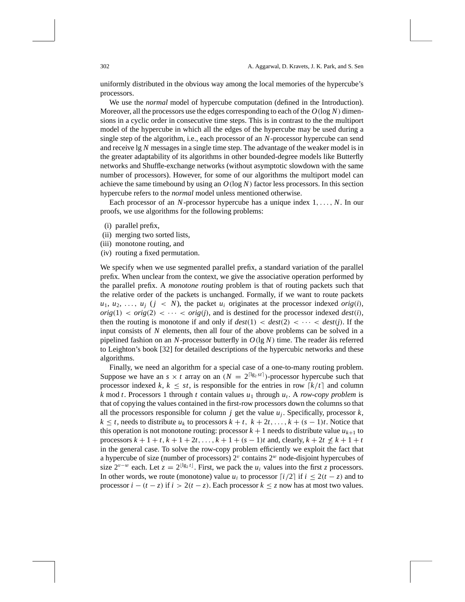uniformly distributed in the obvious way among the local memories of the hypercube's processors.

We use the *normal* model of hypercube computation (defined in the Introduction). Moreover, all the processors use the edges corresponding to each of the  $O(\log N)$  dimensions in a cyclic order in consecutive time steps. This is in contrast to the the multiport model of the hypercube in which all the edges of the hypercube may be used during a single step of the algorithm, i.e., each processor of an *N*-processor hypercube can send and receive lg *N* messages in a single time step. The advantage of the weaker model is in the greater adaptability of its algorithms in other bounded-degree models like Butterfly networks and Shuffle-exchange networks (without asymptotic slowdown with the same number of processors). However, for some of our algorithms the multiport model can achieve the same timebound by using an *O(*log *N)* factor less processors. In this section hypercube refers to the *normal* model unless mentioned otherwise.

Each processor of an *N*-processor hypercube has a unique index 1*,..., N*. In our proofs, we use algorithms for the following problems:

- (i) parallel prefix,
- (ii) merging two sorted lists,
- (iii) monotone routing, and
- (iv) routing a fixed permutation.

We specify when we use segmented parallel prefix, a standard variation of the parallel prefix. When unclear from the context, we give the associative operation performed by the parallel prefix. A *monotone routing* problem is that of routing packets such that the relative order of the packets is unchanged. Formally, if we want to route packets  $u_1, u_2, \ldots, u_i$  ( $j \lt N$ ), the packet  $u_i$  originates at the processor indexed *orig*(*i*),  $orig(1) < orig(2) < \cdots < orig(j)$ , and is destined for the processor indexed *dest*(*i*), then the routing is monotone if and only if  $dest(1) < dest(2) < \cdots < dest(j)$ . If the input consists of *N* elements, then all four of the above problems can be solved in a pipelined fashion on an *N*-processor butterfly in *O(*lg *N)* time. The reader åis referred to Leighton's book [32] for detailed descriptions of the hypercubic networks and these algorithms.

Finally, we need an algorithm for a special case of a one-to-many routing problem. Suppose we have an  $s \times t$  array on an  $(N = 2^{\lceil \lg_2 st \rceil})$ -processor hypercube such that processor indexed *k*,  $k \leq st$ , is responsible for the entries in row  $\lceil k/t \rceil$  and column  $k \mod t$ . Processors 1 through  $t$  contain values  $u_1$  through  $u_t$ . A *row-copy problem* is that of copying the values contained in the first-row processors down the columns so that all the processors responsible for column  $j$  get the value  $u_j$ . Specifically, processor  $k$ ,  $k \leq t$ , needs to distribute  $u_k$  to processors  $k + t$ ,  $k + 2t, \ldots, k + (s - 1)t$ . Notice that this operation is not monotone routing: processor  $k + 1$  needs to distribute value  $u_{k+1}$  to processors  $k + 1 + t$ ,  $k + 1 + 2t$ , ...,  $k + 1 + (s - 1)t$  and, clearly,  $k + 2t \nleq k + 1 + t$ in the general case. To solve the row-copy problem efficiently we exploit the fact that a hypercube of size (number of processors)  $2^v$  contains  $2^w$  node-disjoint hypercubes of size  $2^{v-w}$  each. Let  $z = 2^{\lfloor \lg_2 t \rfloor}$ . First, we pack the  $u_i$  values into the first *z* processors. In other words, we route (monotone) value  $u_i$  to processor  $\lceil i/2 \rceil$  if  $i \leq 2(t - z)$  and to processor  $i - (t - z)$  if  $i > 2(t - z)$ . Each processor  $k \leq z$  now has at most two values.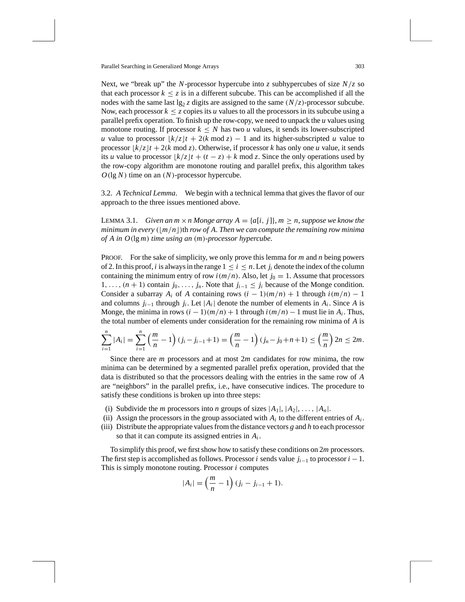Next, we "break up" the *N*-processor hypercube into *z* subhypercubes of size *N/z* so that each processor  $k \leq z$  is in a different subcube. This can be accomplished if all the nodes with the same last  $\lg_2 z$  digits are assigned to the same  $(N/z)$ -processor subcube. Now, each processor  $k \leq z$  copies its *u* values to all the processors in its subcube using a parallel prefix operation. To finish up the row-copy, we need to unpack the *u* values using monotone routing. If processor  $k \leq N$  has two *u* values, it sends its lower-subscripted *u* value to processor  $\frac{k}{z}$  + 2(*k* mod *z*) − 1 and its higher-subscripted *u* value to processor  $\frac{1}{k}$  /*z*  $\frac{1}{t}$  + 2(*k* mod *z*). Otherwise, if processor *k* has only one *u* value, it sends its *u* value to processor  $\frac{k}{z}$   $(t + (t - z) + k \mod z$ . Since the only operations used by the row-copy algorithm are monotone routing and parallel prefix, this algorithm takes *O(*lg *N)* time on an *(N)*-processor hypercube.

3.2. *A Technical Lemma*. We begin with a technical lemma that gives the flavor of our approach to the three issues mentioned above.

**LEMMA 3.1.** *Given an m*  $\times$  *n Monge array A = {a[i, j]}, m*  $\geq$  *n, suppose we know the minimum in every*  $(\lfloor m/n \rfloor)$ th *row of A. Then we can compute the remaining row minima of A in O(*lg *m) time using an (m)-processor hypercube*.

PROOF. For the sake of simplicity, we only prove this lemma for *m* and *n* being powers of 2. In this proof, *i* is always in the range  $1 \le i \le n$ . Let  $j_i$  denote the index of the column containing the minimum entry of row  $i(m/n)$ . Also, let  $j_0 = 1$ . Assume that processors 1,...,  $(n + 1)$  contain  $j_0, \ldots, j_n$ . Note that  $j_{i-1} ≤ j_i$  because of the Monge condition. Consider a subarray  $A_i$  of A containing rows  $(i - 1)(m/n) + 1$  through  $i(m/n) - 1$ and columns  $j_{i-1}$  through  $j_i$ . Let  $|A_i|$  denote the number of elements in  $A_i$ . Since A is Monge, the minima in rows  $(i - 1)(m/n) + 1$  through  $i(m/n) - 1$  must lie in  $A_i$ . Thus, the total number of elements under consideration for the remaining row minima of *A* is

$$
\sum_{i=1}^{n} |A_i| = \sum_{i=1}^{n} \left(\frac{m}{n} - 1\right) (j_i - j_{i-1} + 1) = \left(\frac{m}{n} - 1\right) (j_n - j_0 + n + 1) \le \left(\frac{m}{n}\right) 2n \le 2m.
$$

Since there are *m* processors and at most 2*m* candidates for row minima, the row minima can be determined by a segmented parallel prefix operation, provided that the data is distributed so that the processors dealing with the entries in the same row of *A* are "neighbors" in the parallel prefix, i.e., have consecutive indices. The procedure to satisfy these conditions is broken up into three steps:

- (i) Subdivide the *m* processors into *n* groups of sizes  $|A_1|, |A_2|, \ldots, |A_n|$ .
- (ii) Assign the processors in the group associated with  $A_i$  to the different entries of  $A_i$ .
- (iii) Distribute the appropriate values from the distance vectors *g* and *h* to each processor so that it can compute its assigned entries in *Ai* .

To simplify this proof, we first show how to satisfy these conditions on 2*m* processors. The first step is accomplished as follows. Processor *i* sends value  $j_{i-1}$  to processor  $i-1$ . This is simply monotone routing. Processor *i* computes

$$
|A_i| = \left(\frac{m}{n} - 1\right)(j_i - j_{i-1} + 1).
$$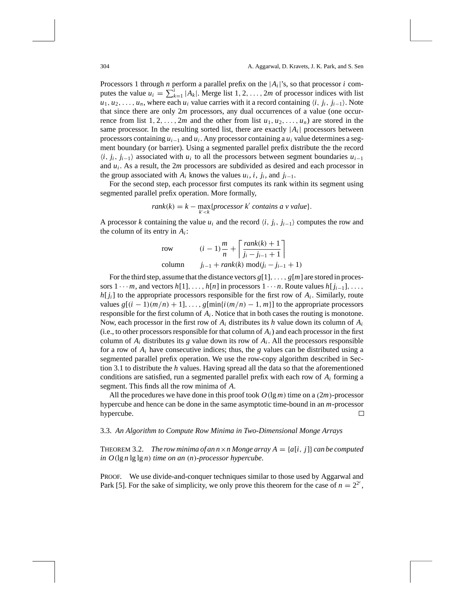Processors 1 through *n* perform a parallel prefix on the  $|A_i|$ 's, so that processor *i* computes the value  $u_i = \sum_{k=1}^{i} |A_k|$ . Merge list 1, 2, ..., 2*m* of processor indices with list  $u_1, u_2, \ldots, u_n$ , where each  $u_i$  value carries with it a record containing  $\langle i, j_i, j_{i-1} \rangle$ . Note that since there are only 2*m* processors, any dual occurrences of a value (one occurrence from list  $1, 2, \ldots, 2m$  and the other from list  $u_1, u_2, \ldots, u_n$  are stored in the same processor. In the resulting sorted list, there are exactly  $|A_i|$  processors between processors containing *ui*<sup>−</sup><sup>1</sup> and *ui* . Any processor containing a *ui* value determines a segment boundary (or barrier). Using a segmented parallel prefix distribute the the record  $\langle i, j_i, j_{i-1} \rangle$  associated with *u<sub>i</sub>* to all the processors between segment boundaries  $u_{i-1}$ and *ui* . As a result, the 2*m* processors are subdivided as desired and each processor in the group associated with  $A_i$  knows the values  $u_i$ ,  $i$ ,  $j_i$ , and  $j_{i-1}$ .

For the second step, each processor first computes its rank within its segment using segmented parallel prefix operation. More formally,

$$
rank(k) = k - \max_{k' < k} \{processor \, k' \, contains \, a \, v \, value\}.
$$

A processor *k* containing the value  $u_i$  and the record  $\langle i, j_i, j_{i-1} \rangle$  computes the row and the column of its entry in  $A_i$ :

row 
$$
(i - 1)\frac{m}{n} + \left[\frac{rank(k) + 1}{j_i - j_{i-1} + 1}\right]
$$
  
column  $j_{i-1} + rank(k) mod(j_i - j_{i-1} + 1)$ 

For the third step, assume that the distance vectors  $g[1], \ldots, g[m]$  are stored in processors  $1 \cdots m$ , and vectors  $h[1], \ldots, h[n]$  in processors  $1 \cdots n$ . Route values  $h[j_{i-1}], \ldots$ ,  $h[i]$  to the appropriate processors responsible for the first row of  $A_i$ . Similarly, route values  $g[(i-1)(m/n) + 1], \ldots, g[\min\{i(m/n) - 1, m\}]$  to the appropriate processors responsible for the first column of  $A_i$ . Notice that in both cases the routing is monotone. Now, each processor in the first row of *Ai* distributes its *h* value down its column of *Ai* (i.e., to other processors responsible for that column of  $A_i$ ) and each processor in the first column of  $A_i$  distributes its *g* value down its row of  $A_i$ . All the processors responsible for a row of  $A_i$  have consecutive indices; thus, the *g* values can be distributed using a segmented parallel prefix operation. We use the row-copy algorithm described in Section 3.1 to distribute the *h* values. Having spread all the data so that the aforementioned conditions are satisfied, run a segmented parallel prefix with each row of *Ai* forming a segment. This finds all the row minima of *A*.

All the procedures we have done in this proof took  $O(\lg m)$  time on a  $(2m)$ -processor hypercube and hence can be done in the same asymptotic time-bound in an *m*-processor hypercube.  $\Box$ 

#### 3.3. *An Algorithm to Compute Row Minima in Two-Dimensional Monge Arrays*

**THEOREM 3.2.** *The row minima of an n × n Monge array*  $A = \{a[i, j]\}$  *can be computed in O(*lg *n* lg lg *n) time on an (n)-processor hypercube*.

PROOF. We use divide-and-conquer techniques similar to those used by Aggarwal and Park [5]. For the sake of simplicity, we only prove this theorem for the case of  $n = 2^{2c}$ ,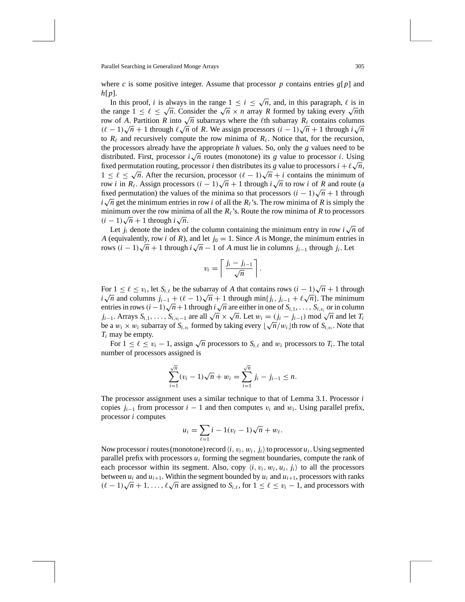where *c* is some positive integer. Assume that processor *p* contains entries  $g[p]$  and *h*[*p*].

In this proof, *i* is always in the range  $1 \le i \le \sqrt{n}$ , and, in this paragraph,  $\ell$  is in the range  $1 \leq \ell \leq \sqrt{n}$ . Consider the  $\sqrt{n} \times n$  array *R* formed by taking every  $\sqrt{n}$ th row of *A*. Partition *R* into  $\sqrt{n}$  subarrays where the  $\ell$ th subarray  $R_\ell$  contains columns *(c* − 1) $\sqrt{n}$  + 1 through  $\ell \sqrt{n}$  of *R*. We assign processors  $(i - 1)\sqrt{n} + 1$  through  $i\sqrt{n}$ to  $R_\ell$  and recursively compute the row minima of  $R_\ell$ . Notice that, for the recursion, the processors already have the appropriate *h* values. So, only the *g* values need to be distributed. First, processor  $i\sqrt{n}$  routes (monotone) its *g* value to processor *i*. Using distributed. First, processor *i*  $\sqrt{n}$  routes (monotone) its *g* value to processor *i*. Using  $\frac{1}{2}$  and  $\frac{1}{2}$  is *g* value to processor *i*. Using the distributes its *g* value to processors *i* +  $\ell \sqrt{n}$ , The permutation routing, processor *t* then distributes its *g* value to processors  $i + \ell \sqrt{n}$ ,<br>  $1 \leq \ell \leq \sqrt{n}$ . After the recursion, processor  $(\ell - 1)\sqrt{n} + i$  contains the minimum of  $\alpha \leq \ell \leq \sqrt{n}$ . Arter the recursion, processor  $(\ell - 1)\sqrt{n} + i$  contains the minimum of row *i* in  $R_\ell$ . Assign processors  $(i - 1)\sqrt{n} + 1$  through  $i\sqrt{n}$  to row *i* of *R* and route (a fixed permutation) the values of the minima so that processors  $(i - 1)\sqrt{n} + 1$  through fixed permutation) the values of the minima so that processors  $(i - 1)\sqrt{n} + 1$  through *i*  $\sqrt{n}$  get the minimum entries in row *i* of all the *R*<sup>*'*</sup>s. The row minima of *R* is simply the minimum over the row minima of all the  $R_\ell$ 's. Route the row minima of  $R$  to processors *(i* − 1) $\sqrt{n}$  + 1 through *i* $\sqrt{n}$ .

Let  $j_i$  denote the index of the column containing the minimum entry in row  $i\sqrt{n}$  of *A* (equivalently, row *i* of *R*), and let  $j_0 = 1$ . Since *A* is Monge, the minimum entries in *R* (*i* − 1) $\sqrt{n}$  + 1 through *i* $\sqrt{n}$  − 1 of *A* must lie in columns *j<sub>i*−1</sub> through *j<sub>i</sub>*. Let

$$
v_i = \left\lceil \frac{j_i - j_{i-1}}{\sqrt{n}} \right\rceil.
$$

For  $1 \leq \ell \leq v_i$ , let  $S_{i,\ell}$  be the subarray of *A* that contains rows  $(i - 1)\sqrt{n} + 1$  through *i*  $\sqrt{n}$  and columns *j<sub>i−1</sub>* +  $(\ell - 1)\sqrt{n} + 1$  through min{*j<sub>i</sub>*, *j<sub>i−1</sub>* +  $\ell\sqrt{n}$ }. The minimum *i*  $i\sqrt{n}$  and columns  $j_{i-1} + (i-1)\sqrt{n+1}$  through  $\lim_{i\sqrt{n}} j_i = i + i\sqrt{n}$ . The minimum entries in rows  $(i-1)\sqrt{n+1}$  through  $i\sqrt{n}$  are either in one of  $S_{i,1}, \ldots, S_{i,v_i}$  or in column *j*<sub>*i*−1</sub>. Arrays  $S_{i,1}, \ldots, S_{i,v_i-1}$  are all  $\sqrt{n} \times \sqrt{n}$ . Let  $w_i = (j_i - j_{i-1}) \mod \sqrt{n}$  and let  $T_i$  $b_i$ <sub>*i*</sub>  $j_{i-1}$ . Arrays  $s_{i,1}, \ldots, s_{i,v_i-1}$  are an  $\sqrt{n} \times \sqrt{n}$ . Let  $w_i = (j_i - j_{i-1})$  mod  $\sqrt{n}$  and let  $I_i$  be a  $w_i \times w_i$  subarray of  $S_{i,v_i}$  formed by taking every  $\lfloor \sqrt{n}/w_i \rfloor$  th row of  $S_{i,v_i}$ . Note that *Ti* may be empty.

For  $1 \leq \ell \leq v_i - 1$ , assign  $\sqrt{n}$  processors to  $S_{i,\ell}$  and  $w_i$  processors to  $T_i$ . The total number of processors assigned is

$$
\sum_{i=1}^{\sqrt{n}} (v_i - 1)\sqrt{n} + w_i = \sum_{i=1}^{\sqrt{n}} j_i - j_{i-1} \le n.
$$

The processor assignment uses a similar technique to that of Lemma 3.1. Processor *i* copies  $j_{i-1}$  from processor  $i-1$  and then computes  $v_i$  and  $w_i$ . Using parallel prefix, processor *i* computes

$$
u_i = \sum_{\ell=1}^{\infty} i - 1(v_{\ell} - 1)\sqrt{n} + w_{\ell}.
$$

Now processor *i* routes (monotone) record  $\langle i, v_i, w_i, j_i \rangle$  to processor  $u_i$ . Using segmented parallel prefix with processors *ui* forming the segment boundaries, compute the rank of each processor within its segment. Also, copy  $\langle i, v_i, w_i, u_i, j_i \rangle$  to all the processors between  $u_i$  and  $u_{i+1}$ . Within the segment bounded by  $u_i$  and  $u_{i+1}$ , processors with ranks between  $u_i$  and  $u_{i+1}$ , within the segment bounded by  $u_i$  and  $u_{i+1}$ , processors with ranks  $(\ell - 1)\sqrt{n} + 1, \ldots, \ell\sqrt{n}$  are assigned to  $S_{i,\ell}$ , for  $1 \leq \ell \leq v_i - 1$ , and processors with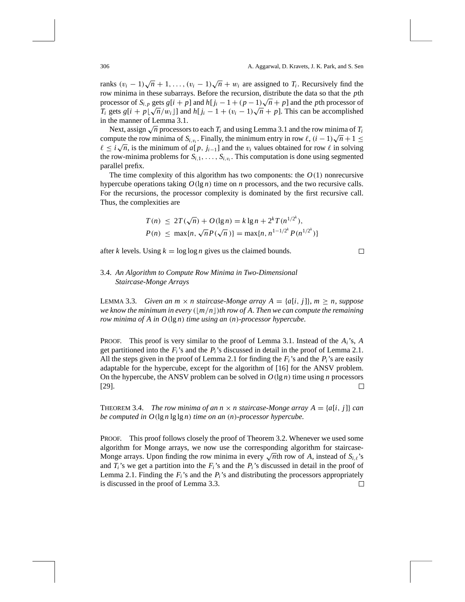ranks  $(v_i - 1)\sqrt{n} + 1, \ldots, (v_i - 1)\sqrt{n} + w_i$  are assigned to  $T_i$ . Recursively find the row minima in these subarrays. Before the recursion, distribute the data so that the *p*th processor of  $S_{i,p}$  gets  $g[i + p]$  and  $h[j_i - 1 + (p - 1)\sqrt{n} + p]$  and the *p*th processor of *Ti* gets *g*[*i* + *p*]  $\sqrt{n}/w_i$ ] and *h*[*j<sub>i</sub>* − 1 +  $(v_i - 1)\sqrt{n}$  + *p*]. This can be accomplished *T<sub>i</sub>* gets *g*[*i* + *p*] $\sqrt{n}/w_i$ ] and *h*[*j<sub>i</sub>* − 1 +  $(v_i - 1)\sqrt{n}$  + *p*]. This can be accomplished in the manner of Lemma 3.1.

Next, assign  $\sqrt{n}$  processors to each  $T_i$  and using Lemma 3.1 and the row minima of  $T_i$ Ext, assign  $\sqrt{n}$  processors to each  $T_i$  and using Lemma 5.1 and the row minima of  $T_i$  compute the row minima of  $S_{i,v_i}$ . Finally, the minimum entry in row  $\ell$ ,  $(i - 1)\sqrt{n} + 1 \le$ Compute the row minima of  $S_{i,v_i}$ . Finany, the minimum entry in row  $\ell$ ,  $(i - 1)\sqrt{n} + 1 \leq \ell \leq i\sqrt{n}$ , is the minimum of *a*[*p*, *j<sub>i−1</sub>*] and the *v<sub>i</sub>* values obtained for row  $\ell$  in solving the row-minima problems for  $S_{i,1}, \ldots, S_{i,v_i}$ . This computation is done using segmented parallel prefix.

The time complexity of this algorithm has two components: the  $O(1)$  nonrecursive hypercube operations taking  $O(\lg n)$  time on *n* processors, and the two recursive calls. For the recursions, the processor complexity is dominated by the first recursive call. Thus, the complexities are

$$
T(n) \le 2T(\sqrt{n}) + O(\lg n) = k \lg n + 2^{k} T(n^{1/2^{k}}),
$$
  
\n
$$
P(n) \le \max\{n, \sqrt{n} P(\sqrt{n})\} = \max\{n, n^{1-1/2^{k}} P(n^{1/2^{k}})\}
$$

after *k* levels. Using  $k = \log \log n$  gives us the claimed bounds.

## 3.4. *An Algorithm to Compute Row Minima in Two-Dimensional Staircase-Monge Arrays*

LEMMA 3.3. *Given an m*  $\times$  *n staircase-Monge array*  $A = \{a[i, j]\}, m \ge n$ *, suppose we know the minimum in every*  $(|m/n|)$ *th row of A. Then we can compute the remaining row minima of A in O(*lg *n) time using an (n)-processor hypercube*.

PROOF. This proof is very similar to the proof of Lemma 3.1. Instead of the *Ai*'s, *A* get partitioned into the  $F_i$ 's and the  $P_i$ 's discussed in detail in the proof of Lemma 2.1. All the steps given in the proof of Lemma 2.1 for finding the  $F_i$ 's and the  $P_i$ 's are easily adaptable for the hypercube, except for the algorithm of [16] for the ANSV problem. On the hypercube, the ANSV problem can be solved in  $O(\lg n)$  time using *n* processors [29]. 口

**THEOREM 3.4.** *The row minima of an n*  $\times$  *n staircase-Monge array A = {a[i, j]} can be computed in O(*lg *n* lg lg *n) time on an (n)-processor hypercube*.

PROOF. This proof follows closely the proof of Theorem 3.2. Whenever we used some algorithm for Monge arrays, we now use the corresponding algorithm for staircase-Monge arrays. Upon finding the row minima in every  $\sqrt{n}$ th row of *A*, instead of *S<sub>i,l</sub>*'s and  $T_i$ 's we get a partition into the  $F_i$ 's and the  $P_i$ 's discussed in detail in the proof of Lemma 2.1. Finding the  $F_i$ 's and the  $P_i$ 's and distributing the processors appropriately is discussed in the proof of Lemma 3.3. $\Box$ 

 $\Box$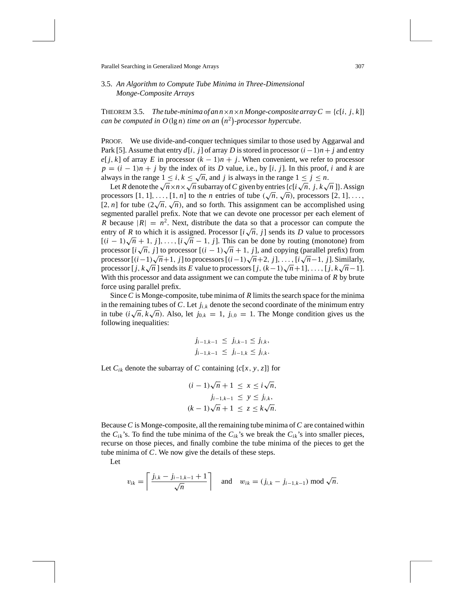### 3.5. *An Algorithm to Compute Tube Minima in Three-Dimensional Monge-Composite Arrays*

THEOREM 3.5. *The tube-minima of an*  $n \times n \times n$  *Monge-composite array*  $C = \{c[i, j, k]\}$ *can be computed in*  $O(\lg n)$  *time on an*  $(n^2)$ -processor hypercube.

PROOF. We use divide-and-conquer techniques similar to those used by Aggarwal and Park [5]. Assume that entry  $d[i, j]$  of array *D* is stored in processor  $(i - 1)n + j$  and entry *e*[ $j$ ,  $k$ ] of array  $E$  in processor  $(k - 1)n + j$ . When convenient, we refer to processor  $p = (i - 1)n + j$  by the index of its *D* value, i.e., by [*i*, *j*]. In this proof, *i* and *k* are always in the range  $1 \le i, k \le \sqrt{n}$ , and *j* is always in the range  $1 \le j \le n$ .

Let *R* denote the  $\sqrt{n} \times n \times \sqrt{n}$  subarray of *C* given by entries  $\{c[i\sqrt{n}, j, k\sqrt{n}]\}$ . Assign processors  $[1, 1], \ldots, [1, n]$  to the *n* entries of tube  $(\sqrt{n}, \sqrt{n})$ , processors  $[2, 1], \ldots$ , processors [1, 1], ..., [1, *n*] to the *n* entries of thoe  $(\sqrt{n}, \sqrt{n})$ , processors [2, 1], ..., <br>[2, *n*] for tube  $(2\sqrt{n}, \sqrt{n})$ , and so forth. This assignment can be accomplished using segmented parallel prefix. Note that we can devote one processor per each element of *R* because  $|R| = n^2$ . Next, distribute the data so that a processor can compute the R because  $|K| = n$ . Next, distribute the data so that a processor can compute the entry of *R* to which it is assigned. Processor  $[i\sqrt{n}, j]$  sends its *D* value to processors  $[(i-1)\sqrt{n}+1, j], \ldots, [i\sqrt{n}-1, j].$  This can be done by routing (monotone) from  $\int (i-1)\sqrt{n+1}$ ,  $f_1, \ldots, \int i\sqrt{n-1}$ ,  $f_1$ . This can be done by fouting (monotone) from processor  $[i\sqrt{n}, j]$  to processor  $[(i-1)\sqrt{n+1}, j]$ , and copying (parallel prefix) from processor  $[i\sqrt{n}, j]$  to processor  $[(i-1)\sqrt{n+1}, j]$ , and copying (parameter prefix) from processors  $[(i-1)\sqrt{n+1}, j]$  to processors  $[(i-1)\sqrt{n+2}, j]$ , ...,  $[i\sqrt{n}-1, j]$ . Similarly, processor  $[i(n-1)\sqrt{n+1}, j]$  to processors  $[i(n-1)\sqrt{n+2}, j]$ , ...,  $[i\sqrt{n-1}, j]$ . Sumary,<br>processor  $[j, k\sqrt{n}]$  sends its *E* value to processors  $[j, (k-1)\sqrt{n+1}]$ , ...,  $[j, k\sqrt{n-1}]$ . With this processor and data assignment we can compute the tube minima of *R* by brute force using parallel prefix.

Since*C* is Monge-composite, tube minima of *R* limits the search space for the minima in the remaining tubes of *C*. Let  $j_{i,k}$  denote the second coordinate of the minimum entry in tube *(i* $\sqrt{n}$ ,  $k\sqrt{n}$ ). Also, let  $j_{0,k} = 1$ ,  $j_{i,0} = 1$ . The Monge condition gives us the following inequalities:

$$
j_{i-1,k-1} \leq j_{i,k-1} \leq j_{i,k},
$$
  
 $j_{i-1,k-1} \leq j_{i-1,k} \leq j_{i,k}.$ 

Let  $C_{ik}$  denote the subarray of *C* containing { $c[x, y, z]$ } for

$$
(i-1)\sqrt{n} + 1 \le x \le i\sqrt{n},
$$
  
\n
$$
j_{i-1,k-1} \le y \le j_{i,k},
$$
  
\n
$$
(k-1)\sqrt{n} + 1 \le z \le k\sqrt{n}.
$$

Because *C* is Monge-composite, all the remaining tube minima of*C* are contained within the  $C_{ik}$ 's. To find the tube minima of the  $C_{ik}$ 's we break the  $C_{ik}$ 's into smaller pieces, recurse on those pieces, and finally combine the tube minima of the pieces to get the tube minima of *C*. We now give the details of these steps.

Let

$$
v_{ik} = \left\lceil \frac{j_{i,k} - j_{i-1,k-1} + 1}{\sqrt{n}} \right\rceil
$$
 and  $w_{ik} = (j_{i,k} - j_{i-1,k-1}) \mod \sqrt{n}$ .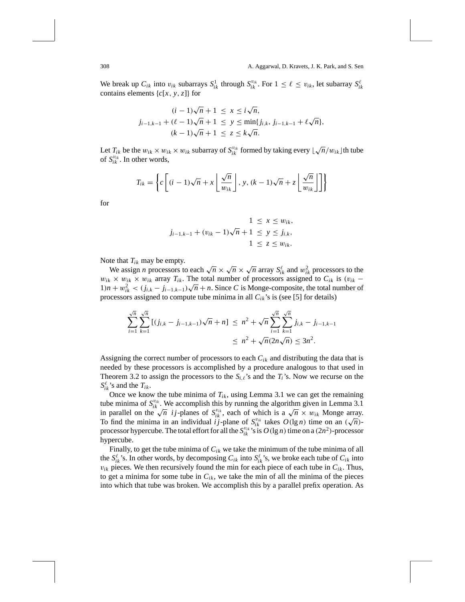We break up  $C_{ik}$  into  $v_{ik}$  subarrays  $S_{ik}^1$  through  $S_{ik}^{v_{ik}}$ . For  $1 \leq \ell \leq v_{ik}$ , let subarray  $S_{ik}^{\ell}$ contains elements {*c*[*x, y,z*]} for

$$
(i - 1)\sqrt{n} + 1 \le x \le i\sqrt{n},
$$
  
\n
$$
j_{i-1,k-1} + (\ell - 1)\sqrt{n} + 1 \le y \le \min\{j_{i,k}, j_{i-1,k-1} + \ell\sqrt{n}\},
$$
  
\n
$$
(k - 1)\sqrt{n} + 1 \le z \le k\sqrt{n}.
$$

Let  $T_{ik}$  be the  $w_{ik} \times w_{ik} \times w_{ik}$  subarray of  $S_{ik}^{v_{ik}}$  formed by taking every  $\lfloor \sqrt{n}/w_{ik} \rfloor$  th tube of  $S_{ik}^{v_{ik}}$ . In other words,

$$
T_{ik} = \left\{ c \left[ (i-1)\sqrt{n} + x \left\lfloor \frac{\sqrt{n}}{w_{ik}} \right\rfloor, y, (k-1)\sqrt{n} + z \left\lfloor \frac{\sqrt{n}}{w_{ik}} \right\rfloor \right] \right\}
$$

for

$$
1 \le x \le w_{ik},
$$
  

$$
j_{i-1,k-1} + (v_{ik} - 1)\sqrt{n} + 1 \le y \le j_{i,k},
$$
  

$$
1 \le z \le w_{ik}.
$$

Note that *Tik* may be empty.

We assign *n* processors to each  $\sqrt{n} \times \sqrt{n} \times \sqrt{n}$  array  $S^{\ell}_{ik}$  and  $w^2_{ik}$  processors to the  $w_{ik} \times w_{ik} \times w_{ik}$  array  $T_{ik}$ . The total number of processors assigned to  $C_{ik}$  is  $(v_{ik} - v_{ik})$  $w_{ik} \times w_{ik} \times w_{ik}$  and  $r_{ik}$ . The total number of processors assigned to  $C_{ik}$  is  $(v_{ik} - 1)n + w_{ik}^2 < (j_{i,k} - j_{i-1,k-1})\sqrt{n} + n$ . Since *C* is Monge-composite, the total number of processors assigned to compute tube minima in all  $C_{ik}$ 's is (see [5] for details)

$$
\sum_{i=1}^{\sqrt{n}} \sum_{k=1}^{\sqrt{n}} \left[ (j_{i,k} - j_{i-1,k-1})\sqrt{n} + n \right] \le n^2 + \sqrt{n} \sum_{i=1}^{\sqrt{n}} \sum_{k=1}^{\sqrt{n}} j_{i,k} - j_{i-1,k-1}
$$
  

$$
\le n^2 + \sqrt{n} (2n\sqrt{n}) \le 3n^2.
$$

Assigning the correct number of processors to each *Cik* and distributing the data that is needed by these processors is accomplished by a procedure analogous to that used in Theorem 3.2 to assign the processors to the  $S_{i,\ell}$ 's and the  $T_i$ 's. Now we recurse on the  $S_{ik}^{\ell}$ 's and the  $T_{ik}$ .

Once we know the tube minima of  $T_{ik}$ , using Lemma 3.1 we can get the remaining tube minima of  $S_{ik}^{v_{ik}}$ . We accomplish this by running the algorithm given in Lemma 3.1 the infinite of  $S_{ik}$ . We accomplish this by running the algorithm given in Lemma 5.1 in parallel on the  $\sqrt{n}$  *ij*-planes of  $S_{ik}^{v_k}$ , each of which is a  $\sqrt{n} \times w_{ik}$  Monge array. In parametric on the  $\sqrt{n}$  *i j*-planes of  $S_{ik}$ , each of which is a  $\sqrt{n} \times w_{ik}$  wonge array.<br>To find the minima in an individual *i j*-plane of  $S_{ik}^{v_{ik}}$  takes  $O(\lg n)$  time on an  $(\sqrt{n})$ processor hypercube. The total effort for all the  $S_{ik}^{v_{ik}}$  's is  $O(\lg n)$  time on a  $(2n^2)$ -processor hypercube.

Finally, to get the tube minima of  $C_{ik}$  we take the minimum of the tube minima of all the  $S^{\ell}_{ik}$ 's. In other words, by decomposing  $C_{ik}$  into  $S^{\ell}_{ik}$ 's, we broke each tube of  $C_{ik}$  into  $v_{ik}$  pieces. We then recursively found the min for each piece of each tube in  $C_{ik}$ . Thus, to get a minima for some tube in  $C_{ik}$ , we take the min of all the minima of the pieces into which that tube was broken. We accomplish this by a parallel prefix operation. As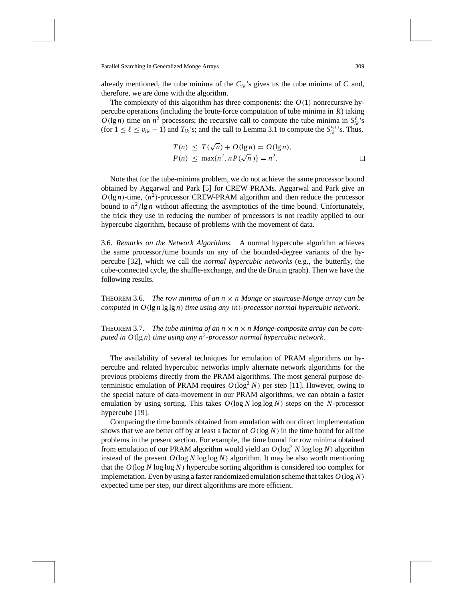already mentioned, the tube minima of the  $C_{ik}$ 's gives us the tube minima of  $C$  and, therefore, we are done with the algorithm.

The complexity of this algorithm has three components: the  $O(1)$  nonrecursive hypercube operations (including the brute-force computation of tube minima in *R*) taking  $O(\lg n)$  time on  $n^2$  processors; the recursive call to compute the tube minima in  $S^{\ell}_{ik}$ 's (for  $1 \leq \ell \leq v_{ik} - 1$ ) and  $T_{ik}$ 's; and the call to Lemma 3.1 to compute the  $S_{ik}^{v_{ik}}$ 's. Thus,

$$
T(n) \leq T(\sqrt{n}) + O(\lg n) = O(\lg n),
$$
  
\n
$$
P(n) \leq \max\{n^2, nP(\sqrt{n})\} = n^2.
$$

Note that for the tube-minima problem, we do not achieve the same processor bound obtained by Aggarwal and Park [5] for CREW PRAMs. Aggarwal and Park give an  $O(\lg n)$ -time,  $(n^2)$ -processor CREW-PRAM algorithm and then reduce the processor bound to  $n^2$ /lg *n* without affecting the asymptotics of the time bound. Unfortunately, the trick they use in reducing the number of processors is not readily applied to our hypercube algorithm, because of problems with the movement of data.

3.6. *Remarks on the Network Algorithms*. A normal hypercube algorithm achieves the same processor*/*time bounds on any of the bounded-degree variants of the hypercube [32], which we call the *normal hypercubic networks* (e.g., the butterfly, the cube-connected cycle, the shuffle-exchange, and the de Bruijn graph). Then we have the following results.

THEOREM 3.6. *The row minima of an n* × *n Monge or staircase-Monge array can be computed in O(*lg *n* lg lg *n) time using any (n)-processor normal hypercubic network*.

THEOREM 3.7. *The tube minima of an*  $n \times n \times n$  *Monge-composite array can be computed in O(*lg *n) time using any n*<sup>2</sup>*-processor normal hypercubic network*.

The availability of several techniques for emulation of PRAM algorithms on hypercube and related hypercubic networks imply alternate network algorithms for the previous problems directly from the PRAM algorithms. The most general purpose deterministic emulation of PRAM requires  $O(\log^2 N)$  per step [11]. However, owing to the special nature of data-movement in our PRAM algorithms, we can obtain a faster emulation by using sorting. This takes *O(*log *N* log log *N)* steps on the *N*-processor hypercube [19].

Comparing the time bounds obtained from emulation with our direct implementation shows that we are better off by at least a factor of  $O(\log N)$  in the time bound for all the problems in the present section. For example, the time bound for row minima obtained from emulation of our PRAM algorithm would yield an  $O(\log^2 N \log \log N)$  algorithm instead of the present  $O(\log N \log \log N)$  algorithm. It may be also worth mentioning that the *O(*log *N* log log *N)* hypercube sorting algorithm is considered too complex for implemetation. Even by using a faster randomized emulation scheme that takes *O(*log *N)* expected time per step, our direct algorithms are more efficient.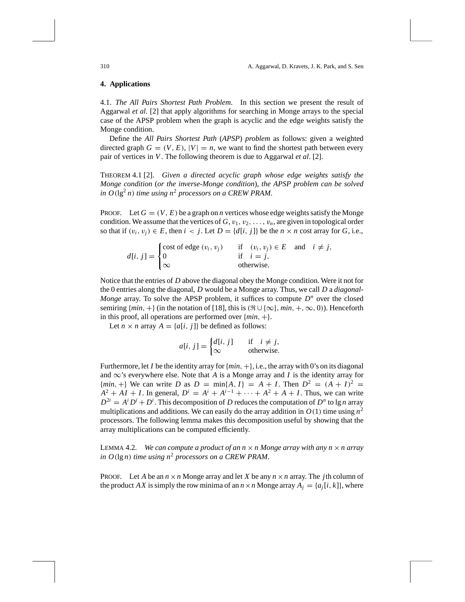#### **4. Applications**

4.1. *The All Pairs Shortest Path Problem*. In this section we present the result of Aggarwal *et al*. [2] that apply algorithms for searching in Monge arrays to the special case of the APSP problem when the graph is acyclic and the edge weights satisfy the Monge condition.

Define the *All Pairs Shortest Path* (*APSP*) *problem* as follows: given a weighted directed graph  $G = (V, E), |V| = n$ , we want to find the shortest path between every pair of vertices in *V*. The following theorem is due to Aggarwal *et al*. [2].

THEOREM 4.1 [2]. *Given a directed acyclic graph whose edge weights satisfy the Monge condition* (*or the inverse-Monge condition*), *the APSP problem can be solved in O*( $\lg^2 n$ ) *time using n<sup>2</sup> processors on a CREW PRAM.* 

PROOF. Let  $G = (V, E)$  be a graph on *n* vertices whose edge weights satisfy the Monge condition. We assume that the vertices of  $G$ ,  $v_1$ ,  $v_2$ , ...,  $v_n$ , are given in topological order so that if  $(v_i, v_j) \in E$ , then  $i < j$ . Let  $D = \{d[i, j]\}$  be the  $n \times n$  cost array for *G*, i.e.,

$$
d[i, j] = \begin{cases} \text{cost of edge } (v_i, v_j) & \text{if } (v_i, v_j) \in E \text{ and } i \neq j, \\ 0 & \text{if } i = j, \\ \infty & \text{otherwise.} \end{cases}
$$

Notice that the entries of *D* above the diagonal obey the Monge condition. Were it not for the 0 entries along the diagonal, *D* would be a Monge array. Thus, we call *D* a *diagonal-Monge* array. To solve the APSP problem, it suffices to compute  $D^n$  over the closed semiring  $\{min, +\}$  (in the notation of [18], this is  $(\Re \cup {\infty}, min, +, \infty, 0)$ ). Henceforth in this proof, all operations are performed over {*min,* +}.

Let  $n \times n$  array  $A = \{a[i, j]\}$  be defined as follows:

$$
a[i, j] = \begin{cases} d[i, j] & \text{if } i \neq j, \\ \infty & \text{otherwise.} \end{cases}
$$

Furthermore, let *I* be the identity array for  $\{min, +\}$ , i.e., the array with 0's on its diagonal and  $\infty$ 's everywhere else. Note that *A* is a Monge array and *I* is the identity array for  ${min, +}$  We can write *D* as  $D = min{A, I} = A + I$ . Then  $D^2 = (A + I)^2 = I$  $A^{2} + AI + I$ . In general,  $D^{i} = A^{i} + A^{i-1} + \cdots + A^{2} + A + I$ . Thus, we can write  $D^{2i} = A^i D^i + D^i$ . This decomposition of *D* reduces the computation of  $D^n$  to lg *n* array multiplications and additions. We can easily do the array addition in  $O(1)$  time using  $n^2$ processors. The following lemma makes this decomposition useful by showing that the array multiplications can be computed efficiently.

LEMMA 4.2. *We can compute a product of an*  $n \times n$  *Monge array with any*  $n \times n$  *array in O(*lg *n) time using n*<sup>2</sup> *processors on a CREW PRAM*.

PROOF. Let *A* be an  $n \times n$  Monge array and let *X* be any  $n \times n$  array. The *j*th column of the product *AX* is simply the row minima of an  $n \times n$  Monge array  $A_i = \{a_i[i, k]\}$ , where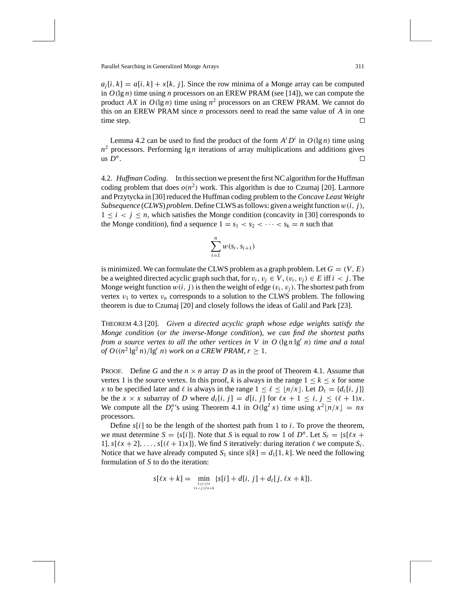$a_i[i, k] = a[i, k] + x[k, j]$ . Since the row minima of a Monge array can be computed in  $O(\lg n)$  time using *n* processors on an EREW PRAM (see [14]), we can compute the product *AX* in  $O(\lg n)$  time using  $n^2$  processors on an CREW PRAM. We cannot do this on an EREW PRAM since *n* processors need to read the same value of *A* in one time step. □

Lemma 4.2 can be used to find the product of the form  $A^i D^i$  in  $O(\lg n)$  time using  $n^2$  processors. Performing  $\lg n$  iterations of array multiplications and additions gives us  $D^n$ . □

4.2. *Huffman Coding*. In this section we present the first NC algorithm for the Huffman coding problem that does  $o(n^2)$  work. This algorithm is due to Czumaj [20]. Larmore and Przytycka in [30] reduced the Huffman coding problem to the *Concave Least Weight Subsequence* (*CLWS*) *problem*. Define CLWS as follows: given a weight function *w(i, j)*,  $1 \leq i \leq j \leq n$ , which satisfies the Monge condition (concavity in [30] corresponds to the Monge condition), find a sequence  $1 = s_1 < s_2 < \cdots < s_k = n$  such that

$$
\sum_{i=1}^n w(s_i, s_{i+1})
$$

is minimized. We can formulate the CLWS problem as a graph problem. Let  $G = (V, E)$ be a weighted directed acyclic graph such that, for  $v_i, v_i \in V$ ,  $(v_i, v_i) \in E$  iff  $i < j$ . The Monge weight function  $w(i, j)$  is then the weight of edge  $(v_i, v_j)$ . The shortest path from vertex  $v_1$  to vertex  $v_n$  corresponds to a solution to the CLWS problem. The following theorem is due to Czumaj [20] and closely follows the ideas of Galil and Park [23].

THEOREM 4.3 [20]. *Given a directed acyclic graph whose edge weights satisfy the Monge condition* (*or the inverse-Monge condition*), *we can find the shortest paths from a source vertex to all the other vertices in V in O*  $(\lg n \lg^n n)$  *time and a total of*  $O((n^2 \lg^2 n)/\lg^r n)$  *work on a CREW PRAM,*  $r \geq 1$ *.* 

**PROOF.** Define G and the  $n \times n$  array D as in the proof of Theorem 4.1. Assume that vertex 1 is the source vertex. In this proof, *k* is always in the range  $1 \leq k \leq x$  for some *x* to be specified later and  $\ell$  is always in the range  $1 \leq \ell \leq \lfloor n/x \rfloor$ . Let  $D_{\ell} = \{d_{\ell}[i, j]\}$ be the  $x \times x$  subarray of *D* where  $d_{\ell}[i, j] = d[i, j]$  for  $\ell x + 1 \leq i, j \leq (\ell + 1)x$ . We compute all the  $D_{\ell}^{n}$ 's using Theorem 4.1 in  $O(\lg^2 x)$  time using  $x^2 \lfloor n/x \rfloor = nx$ processors.

Define  $s[i]$  to be the length of the shortest path from 1 to *i*. To prove the theorem, we must determine  $S = \{s[i]\}\$ . Note that *S* is equal to row 1 of  $D^n$ . Let  $S_\ell = \{s[\ell x + \ell x] \}$ 1],  $s[\ell x + 2], \ldots, s[(\ell + 1)x]$ . We find *S* iteratively: during iteration  $\ell$  we compute  $S_{\ell}$ . Notice that we have already computed  $S_1$  since  $s[k] = d_1[1, k]$ . We need the following formulation of *S* to do the iteration:

$$
s[\ell x + k] = \min_{\substack{1 \le i \le k \\ \ell x < j \le \ell x + k}} \{s[i] + d[i, j] + d_{\ell}[j, \ell x + k]\}.
$$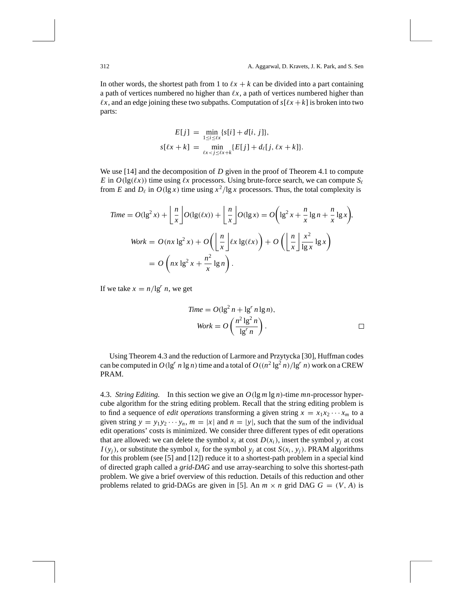In other words, the shortest path from 1 to  $\ell x + k$  can be divided into a part containing a path of vertices numbered no higher than  $\ell x$ , a path of vertices numbered higher than  $\ell x$ , and an edge joining these two subpaths. Computation of  $s[\ell x + k]$  is broken into two parts:

$$
E[j] = \min_{1 \le i \le \ell x} \{s[i] + d[i, j]\},
$$
  

$$
s[\ell x + k] = \min_{\ell x < j \le \ell x + k} \{E[j] + d_{\ell}[j, \ell x + k]\}.
$$

We use [14] and the decomposition of *D* given in the proof of Theorem 4.1 to compute *E* in  $O(\lg(\ell x))$  time using  $\ell x$  processors. Using brute-force search, we can compute  $S_{\ell}$ from *E* and  $D_\ell$  in  $O(\lg x)$  time using  $x^2/\lg x$  processors. Thus, the total complexity is

$$
Time = O(\lg^2 x) + \left\lfloor \frac{n}{x} \right\rfloor O(\lg(\ell x)) + \left\lfloor \frac{n}{x} \right\rfloor O(\lg x) = O\left(\lg^2 x + \frac{n}{x} \lg n + \frac{n}{x} \lg x\right),
$$
\n
$$
Work = O(nx \lg^2 x) + O\left(\left\lfloor \frac{n}{x} \right\rfloor \ell x \lg(\ell x)\right) + O\left(\left\lfloor \frac{n}{x} \right\rfloor \frac{x^2}{\lg x} \lg x\right)
$$
\n
$$
= O\left(nx \lg^2 x + \frac{n^2}{x} \lg n\right).
$$

If we take  $x = n/\lg^n n$ , we get

$$
Time = O(\lg^{2} n + \lg^{r} n \lg n),
$$
  

$$
Work = O\left(\frac{n^{2} \lg^{2} n}{\lg^{r} n}\right).
$$

Using Theorem 4.3 and the reduction of Larmore and Przytycka [30], Huffman codes can be computed in  $O(\lg^n n \lg n)$  time and a total of  $O((n^2 \lg^2 n)/\lg^n n)$  work on a CREW PRAM.

4.3. *String Editing*. In this section we give an *O(*lg *m* lg *n)*-time *mn*-processor hypercube algorithm for the string editing problem. Recall that the string editing problem is to find a sequence of *edit operations* transforming a given string  $x = x_1x_2 \cdots x_m$  to a given string  $y = y_1 y_2 \cdots y_n$ ,  $m = |x|$  and  $n = |y|$ , such that the sum of the individual edit operations' costs is minimized. We consider three different types of edit operations that are allowed: we can delete the symbol  $x_i$  at cost  $D(x_i)$ , insert the symbol  $y_i$  at cost *I*(*y<sub>i</sub>*), or substitute the symbol  $x_i$  for the symbol  $y_i$  at cost  $S(x_i, y_i)$ . PRAM algorithms for this problem (see [5] and [12]) reduce it to a shortest-path problem in a special kind of directed graph called a *grid-DAG* and use array-searching to solve this shortest-path problem. We give a brief overview of this reduction. Details of this reduction and other problems related to grid-DAGs are given in [5]. An  $m \times n$  grid DAG  $G = (V, A)$  is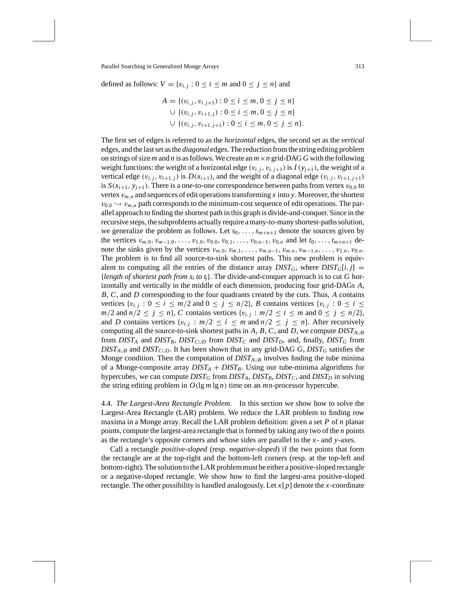defined as follows:  $V = \{v_{i,j} : 0 \le i \le m \text{ and } 0 \le j \le n\}$  and

$$
A = \{(v_{i,j}, v_{i,j+1}) : 0 \le i \le m, 0 \le j \le n\}
$$
  
\n
$$
\cup \{(v_{i,j}, v_{i+1,j}) : 0 \le i \le m, 0 \le j \le n\}
$$
  
\n
$$
\cup \{(v_{i,j}, v_{i+1,j+1}) : 0 \le i \le m, 0 \le j \le n\}.
$$

The first set of edges is referred to as the *horizontal* edges, the second set as the *vertical* edges, and the last set as the *diagonal* edges. The reduction from the string editing problem on strings of size *m* and *n* is as follows. We create an  $m \times n$  grid-DAG G with the following weight functions: the weight of a horizontal edge  $(v_{i,i}, v_{i,i+1})$  is  $I(y_{i+1})$ , the weight of a vertical edge  $(v_{i,j}, v_{i+1,j})$  is  $D(x_{i+1})$ , and the weight of a diagonal edge  $(v_{i,j}, v_{i+1,j+1})$ is  $S(x_{i+1}, y_{i+1})$ . There is a one-to-one correspondence between paths from vertex  $v_{0,0}$  to vertex  $v_{m,n}$  and sequences of edit operations transforming *x* into *y*. Moreover, the shortest  $v_{0,0} \sim v_{m,n}$  path corresponds to the minimum-cost sequence of edit operations. The parallel approach to finding the shortest path in this graph is divide-and-conquer. Since in the recursive steps, the subproblems actually require a many-to-many shortest-paths solution, we generalize the problem as follows. Let  $s_0, \ldots, s_{m+n+1}$  denote the sources given by the vertices  $v_{m,0}, v_{m-1,0}, \ldots, v_{1,0}, v_{0,0}, v_{0,1}, \ldots, v_{0,n-1}, v_{0,n}$  and let  $t_0, \ldots, t_{m+n+1}$  denote the sinks given by the vertices  $v_{m,0}, v_{m,1}, \ldots, v_{m,n-1}, v_{m,n}, v_{m-1,n}, \ldots, v_{1,n}, v_{0,n}$ . The problem is to find all source-to-sink shortest paths. This new problem is equivalent to computing all the entries of the distance array  $DIST_G$ , where  $DIST_G[i, j] =$ *length of shortest path from*  $s_i$  *to*  $t_i$ *. The divide-and-conquer approach is to cut G hor*izontally and vertically in the middle of each dimension, producing four grid-DAGs *A*, *B*, *C*, and *D* corresponding to the four quadrants created by the cuts. Thus, *A* contains vertices  $\{v_{i,j}: 0 \le i \le m/2 \text{ and } 0 \le j \le n/2\}$ , *B* contains vertices  $\{v_{i,j}: 0 \le i \le n/2\}$  $m/2$  and  $n/2 \leq j \leq n$ , *C* contains vertices  $\{v_{i,j} : m/2 \leq i \leq m \text{ and } 0 \leq j \leq n/2\}$ , and *D* contains vertices  $\{v_{i,j} : m/2 \le i \le m \text{ and } n/2 \le j \le n\}$ . After recursively computing all the source-to-sink shortest paths in  $A$ ,  $B$ ,  $C$ , and  $D$ , we compute  $DIST_{A\cup B}$ from  $DIST_A$  and  $DIST_B$ ,  $DIST_{C\cup D}$  from  $DIST_C$  and  $DIST_D$ , and, finally,  $DIST_G$  from  $DIST_{A\cup B}$  and  $DIST_{C\cup D}$ . It has been shown that in any grid-DAG *G*, *DIST<sub>G</sub>* satisfies the Monge condition. Then the computation of  $DIST_{A\cup B}$  involves finding the tube minima of a Monge-composite array  $DIST_A + DIST_B$ . Using our tube-minima algorithms for hypercubes, we can compute  $DIST_G$  from  $DIST_A$ ,  $DIST_B$ ,  $DIST_C$ , and  $DIST_D$  in solving the string editing problem in  $O(\lg m \lg n)$  time on an *mn*-processor hypercube.

4.4. *The Largest-Area Rectangle Problem*. In this section we show how to solve the Largest-Area Rectangle (LAR) problem. We reduce the LAR problem to finding row maxima in a Monge array. Recall the LAR problem definition: given a set *P* of *n* planar points, compute the largest-area rectangle that is formed by taking any two of the *n* points as the rectangle's opposite corners and whose sides are parallel to the *x*- and *y*-axes.

Call a rectangle *positive-sloped* (resp. *negative-sloped*) if the two points that form the rectangle are at the top-right and the bottom-left corners (resp. at the top-left and bottom-right). The solution to the LAR problem must be either a positive-sloped rectangle or a negative-sloped rectangle. We show how to find the largest-area positive-sloped rectangle. The other possibility is handled analogously. Let  $x[p]$  denote the *x*-coordinate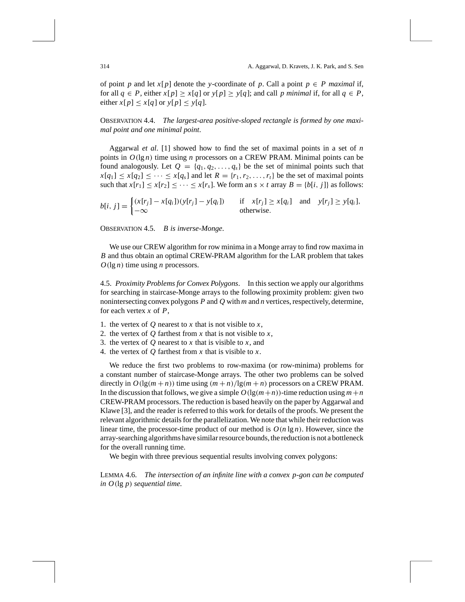of point *p* and let *x*[*p*] denote the *y*-coordinate of *p*. Call a point  $p \in P$  *maximal* if, for all  $q \in P$ , either  $x[p] \ge x[q]$  or  $y[p] \ge y[q]$ ; and call *p* minimal if, for all  $q \in P$ , either  $x[p] \le x[q]$  or  $y[p] \le y[q]$ .

OBSERVATION 4.4. *The largest-area positive-sloped rectangle is formed by one maximal point and one minimal point*.

Aggarwal *et al*. [1] showed how to find the set of maximal points in a set of *n* points in  $O(\lg n)$  time using *n* processors on a CREW PRAM. Minimal points can be found analogously. Let  $Q = \{q_1, q_2, \ldots, q_s\}$  be the set of minimal points such that  $x[q_1] \le x[q_2] \le \cdots \le x[q_s]$  and let  $R = \{r_1, r_2, \ldots, r_t\}$  be the set of maximal points such that  $x[r_1] \le x[r_2] \le \cdots \le x[r_s]$ . We form an  $s \times t$  array  $B = \{b[i, j]\}$  as follows:

$$
b[i, j] = \begin{cases} (x[r_j] - x[q_i])(y[r_j] - y[q_i]) & \text{if } x[r_j] \ge x[q_i] \text{ and } y[r_j] \ge y[q_i], \\ -\infty & \text{otherwise.} \end{cases}
$$

OBSERVATION 4.5. *B is inverse-Monge*.

We use our CREW algorithm for row minima in a Monge array to find row maxima in *B* and thus obtain an optimal CREW-PRAM algorithm for the LAR problem that takes *O(*lg *n)* time using *n* processors.

4.5. *Proximity Problems for Convex Polygons*. In this section we apply our algorithms for searching in staircase-Monge arrays to the following proximity problem: given two nonintersecting convex polygons *P* and *Q* with *m* and *n* vertices, respectively, determine, for each vertex *x* of *P*,

- 1. the vertex of  $Q$  nearest to  $x$  that is not visible to  $x$ ,
- 2. the vertex of  $Q$  farthest from  $x$  that is not visible to  $x$ ,
- 3. the vertex of *Q* nearest to *x* that is visible to *x*, and
- 4. the vertex of *Q* farthest from *x* that is visible to *x*.

We reduce the first two problems to row-maxima (or row-minima) problems for a constant number of staircase-Monge arrays. The other two problems can be solved directly in  $O(\lg(m+n))$  time using  $(m+n)/\lg(m+n)$  processors on a CREW PRAM. In the discussion that follows, we give a simple  $O(\lg(m+n))$ -time reduction using  $m+n$ CREW-PRAM processors. The reduction is based heavily on the paper by Aggarwal and Klawe [3], and the reader is referred to this work for details of the proofs. We present the relevant algorithmic details for the parallelization. We note that while their reduction was linear time, the processor-time product of our method is  $O(n \lg n)$ . However, since the array-searching algorithms have similar resource bounds, the reduction is not a bottleneck for the overall running time.

We begin with three previous sequential results involving convex polygons:

LEMMA 4.6. *The intersection of an infinite line with a convex p-gon can be computed in O(*lg *p) sequential time*.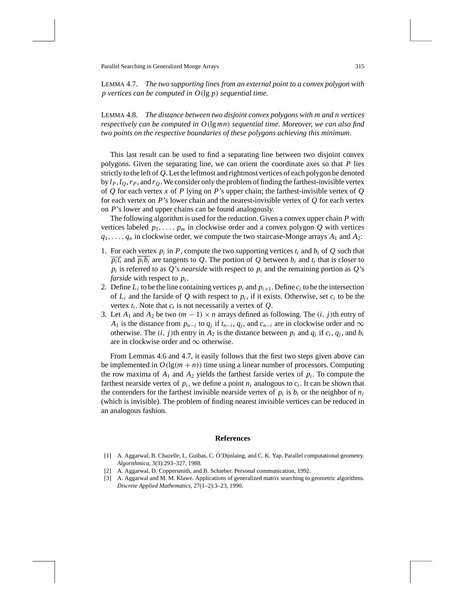LEMMA 4.7. *The two supporting lines from an external point to a convex polygon with p vertices can be computed in O(*lg *p) sequential time*.

LEMMA 4.8. *The distance between two disjoint convex polygons with m and n vertices respectively can be computed in O(*lg *mn) sequential time*. *Moreover*, *we can also find two points on the respective boundaries of these polygons achieving this minimum*.

This last result can be used to find a separating line between two disjoint convex polygons. Given the separating line, we can orient the coordinate axes so that *P* lies strictly to the left of *Q*. Let the leftmost and rightmost vertices of each polygon be denoted by  $l_P$ ,  $l_Q$ ,  $r_P$ , and  $r_Q$ . We consider only the problem of finding the farthest-invisible vertex of *Q* for each vertex *x* of *P* lying on *P*'s upper chain; the farthest-invisible vertex of *Q* for each vertex on  $P$ 's lower chain and the nearest-invisible vertex of  $Q$  for each vertex on *P*'s lower and upper chains can be found analogously.

The following algorithm is used for the reduction. Given a convex upper chain *P* with vertices labeled  $p_1, \ldots, p_m$  in clockwise order and a convex polygon *Q* with vertices  $q_1, \ldots, q_n$  in clockwise order, we compute the two staircase-Monge arrays  $A_1$  and  $A_2$ :

- 1. For each vertex  $p_i$  in  $P$ , compute the two supporting vertices  $t_i$  and  $b_i$  of  $Q$  such that  $\overline{p_i t_i}$  and  $\overline{p_i b_i}$  are tangents to *Q*. The portion of *Q* between  $b_i$  and  $t_i$  that is closer to  $p_i$  is referred to as *Q*'s *nearside* with respect to  $p_i$  and the remaining portion as *Q*'s *farside* with respect to *pi* .
- 2. Define  $L_i$  to be the line containing vertices  $p_i$  and  $p_{i+1}$ . Define  $c_i$  to be the intersection of  $L_i$  and the farside of Q with respect to  $p_i$ , if it exists. Otherwise, set  $c_i$  to be the vertex  $t_i$ . Note that  $c_i$  is not necessarily a vertex of  $Q$ .
- 3. Let  $A_1$  and  $A_2$  be two  $(m 1) \times n$  arrays defined as following. The  $(i, j)$ th entry of *A*<sub>1</sub> is the distance from  $p_{n-i}$  to  $q_i$  if  $t_{n-i}$ ,  $q_i$ , and  $c_{n-i}$  are in clockwise order and  $\infty$ otherwise. The  $(i, j)$ th entry in  $A_2$  is the distance between  $p_i$  and  $q_j$  if  $c_i, q_j$ , and  $b_i$ are in clockwise order and  $\infty$  otherwise.

From Lemmas 4.6 and 4.7, it easily follows that the first two steps given above can be implemented in  $O(\lg(m + n))$  time using a linear number of processors. Computing the row maxima of  $A_1$  and  $A_2$  yields the farthest farside vertex of  $p_i$ . To compute the farthest nearside vertex of  $p_i$ , we define a point  $n_i$  analogous to  $c_i$ . It can be shown that the contenders for the farthest invisible nearside vertex of  $p_i$  is  $b_i$  or the neighbor of  $n_i$ (which is invisible). The problem of finding nearest invisible vertices can be reduced in an analogous fashion.

#### **References**

- [1] A. Aggarwal, B. Chazelle, L. Guibas, C. Ó' Dúnlaing, and C. K. Yap. Parallel computational geometry. *Algorithmica*, 3(3):293–327, 1988.
- [2] A. Aggarwal, D. Coppersmith, and B. Schieber. Personal communication, 1992.
- [3] A. Aggarwal and M. M. Klawe. Applications of generalized matrix searching to geometric algorithms. *Discrete Applied Mathematics*, 27(1–2):3–23, 1990.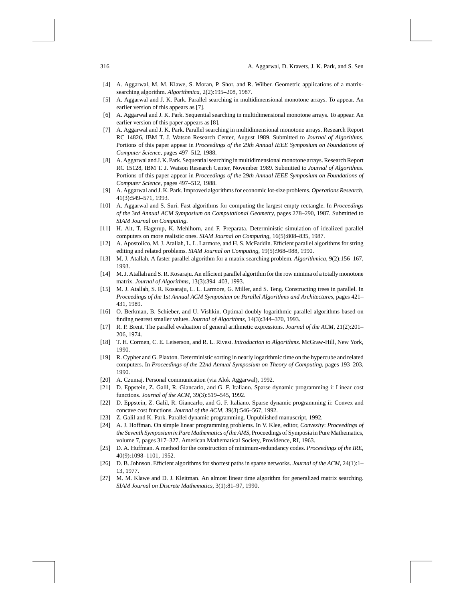- [4] A. Aggarwal, M. M. Klawe, S. Moran, P. Shor, and R. Wilber. Geometric applications of a matrixsearching algorithm. *Algorithmica*, 2(2):195–208, 1987.
- [5] A. Aggarwal and J. K. Park. Parallel searching in multidimensional monotone arrays. To appear. An earlier version of this appears as [7].
- [6] A. Aggarwal and J. K. Park. Sequential searching in multidimensional monotone arrays. To appear. An earlier version of this paper appears as [8].
- [7] A. Aggarwal and J. K. Park. Parallel searching in multidimensional monotone arrays. Research Report RC 14826, IBM T. J. Watson Research Center, August 1989. Submitted to *Journal of Algorithms*. Portions of this paper appear in *Proceedings of the* 29*th Annual IEEE Symposium on Foundations of Computer Science*, pages 497–512, 1988.
- [8] A. Aggarwal and J. K. Park. Sequential searching in multidimensional monotone arrays. Research Report RC 15128, IBM T. J. Watson Research Center, November 1989. Submitted to *Journal of Algorithms*. Portions of this paper appear in *Proceedings of the* 29*th Annual IEEE Symposium on Foundations of Computer Science*, pages 497–512, 1988.
- [9] A. Aggarwal and J. K. Park. Improved algorithms for economic lot-size problems. *Operations Research*, 41(3):549–571, 1993.
- [10] A. Aggarwal and S. Suri. Fast algorithms for computing the largest empty rectangle. In *Proceedings of the* 3*rd Annual ACM Symposium on Computational Geometry*, pages 278–290, 1987. Submitted to *SIAM Journal on Computing*.
- [11] H. Alt, T. Hagerup, K. Mehlhorn, and F. Preparata. Deterministic simulation of idealized parallel computers on more realistic ones. *SIAM Journal on Computing*, 16(5):808–835, 1987.
- [12] A. Apostolico, M. J. Atallah, L. L. Larmore, and H. S. McFaddin. Efficient parallel algorithms for string editing and related problems. *SIAM Journal on Computing*, 19(5):968–988, 1990.
- [13] M. J. Atallah. A faster parallel algorithm for a matrix searching problem. *Algorithmica*, 9(2):156–167, 1993.
- [14] M. J. Atallah and S. R. Kosaraju. An efficient parallel algorithm for the row minima of a totally monotone matrix. *Journal of Algorithms*, 13(3):394–403, 1993.
- [15] M. J. Atallah, S. R. Kosaraju, L. L. Larmore, G. Miller, and S. Teng. Constructing trees in parallel. In *Proceedings of the* 1*st Annual ACM Symposium on Parallel Algorithms and Architectures*, pages 421– 431, 1989.
- [16] O. Berkman, B. Schieber, and U. Vishkin. Optimal doubly logarithmic parallel algorithms based on finding nearest smaller values. *Journal of Algorithms*, 14(3):344–370, 1993.
- [17] R. P. Brent. The parallel evaluation of general arithmetic expressions. *Journal of the ACM*, 21(2):201– 206, 1974.
- [18] T. H. Cormen, C. E. Leiserson, and R. L. Rivest. *Introduction to Algorithms*. McGraw-Hill, New York, 1990.
- [19] R. Cypher and G. Plaxton. Deterministic sorting in nearly logarithmic time on the hypercube and related computers. In *Proceedings of the* 22*nd Annual Symposium on Theory of Computing*, pages 193–203, 1990.
- [20] A. Czumaj. Personal communication (via Alok Aggarwal), 1992.
- [21] D. Eppstein, Z. Galil, R. Giancarlo, and G. F. Italiano. Sparse dynamic programming i: Linear cost functions. *Journal of the ACM*, 39(3):519–545, 1992.
- [22] D. Eppstein, Z. Galil, R. Giancarlo, and G. F. Italiano. Sparse dynamic programming ii: Convex and concave cost functions. *Journal of the ACM*, 39(3):546–567, 1992.
- [23] Z. Galil and K. Park. Parallel dynamic programming. Unpublished manuscript, 1992.
- [24] A. J. Hoffman. On simple linear programming problems. In V. Klee, editor, *Convexity*: *Proceedings of the Seventh Symposium in Pure Mathematics of the AMS*, Proceedings of Symposia in Pure Mathematics, volume 7, pages 317–327. American Mathematical Society, Providence, RI, 1963.
- [25] D. A. Huffman. A method for the construction of minimum-redundancy codes. *Proceedings of the IRE*, 40(9):1098–1101, 1952.
- [26] D. B. Johnson. Efficient algorithms for shortest paths in sparse networks. *Journal of the ACM*, 24(1):1– 13, 1977.
- [27] M. M. Klawe and D. J. Kleitman. An almost linear time algorithm for generalized matrix searching. *SIAM Journal on Discrete Mathematics*, 3(1):81–97, 1990.